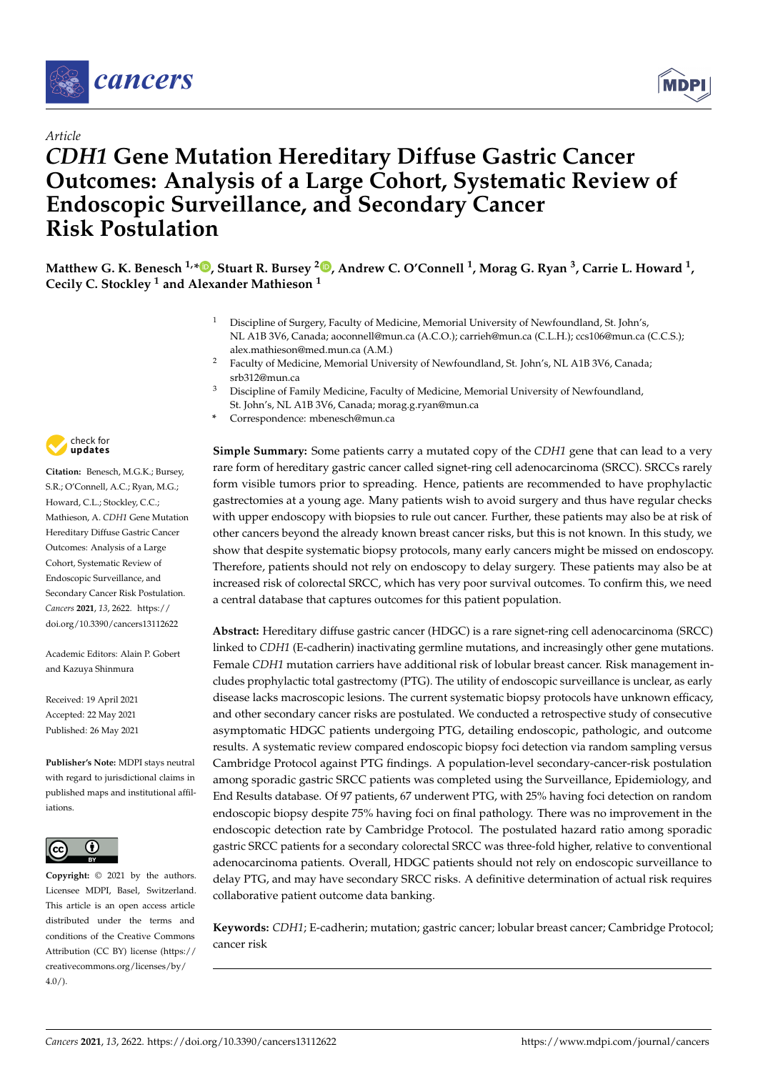



# *Article CDH1* **Gene Mutation Hereditary Diffuse Gastric Cancer Outcomes: Analysis of a Large Cohort, Systematic Review of Endoscopic Surveillance, and Secondary Cancer Risk Postulation**

**Matthew G. K. Benesch 1,\* [,](https://orcid.org/0000-0002-1326-684X) Stuart R. Bursey [2](https://orcid.org/0000-0002-0697-5269) , Andrew C. O'Connell <sup>1</sup> , Morag G. Ryan <sup>3</sup> , Carrie L. Howard <sup>1</sup> , Cecily C. Stockley <sup>1</sup> and Alexander Mathieson <sup>1</sup>**

- Discipline of Surgery, Faculty of Medicine, Memorial University of Newfoundland, St. John's, NL A1B 3V6, Canada; aoconnell@mun.ca (A.C.O.); carrieh@mun.ca (C.L.H.); ccs106@mun.ca (C.C.S.); alex.mathieson@med.mun.ca (A.M.)
- <sup>2</sup> Faculty of Medicine, Memorial University of Newfoundland, St. John's, NL A1B 3V6, Canada; srb312@mun.ca
- <sup>3</sup> Discipline of Family Medicine, Faculty of Medicine, Memorial University of Newfoundland, St. John's, NL A1B 3V6, Canada; morag.g.ryan@mun.ca
- **\*** Correspondence: mbenesch@mun.ca

**Simple Summary:** Some patients carry a mutated copy of the *CDH1* gene that can lead to a very rare form of hereditary gastric cancer called signet-ring cell adenocarcinoma (SRCC). SRCCs rarely form visible tumors prior to spreading. Hence, patients are recommended to have prophylactic gastrectomies at a young age. Many patients wish to avoid surgery and thus have regular checks with upper endoscopy with biopsies to rule out cancer. Further, these patients may also be at risk of other cancers beyond the already known breast cancer risks, but this is not known. In this study, we show that despite systematic biopsy protocols, many early cancers might be missed on endoscopy. Therefore, patients should not rely on endoscopy to delay surgery. These patients may also be at increased risk of colorectal SRCC, which has very poor survival outcomes. To confirm this, we need a central database that captures outcomes for this patient population.

**Abstract:** Hereditary diffuse gastric cancer (HDGC) is a rare signet-ring cell adenocarcinoma (SRCC) linked to *CDH1* (E-cadherin) inactivating germline mutations, and increasingly other gene mutations. Female *CDH1* mutation carriers have additional risk of lobular breast cancer. Risk management includes prophylactic total gastrectomy (PTG). The utility of endoscopic surveillance is unclear, as early disease lacks macroscopic lesions. The current systematic biopsy protocols have unknown efficacy, and other secondary cancer risks are postulated. We conducted a retrospective study of consecutive asymptomatic HDGC patients undergoing PTG, detailing endoscopic, pathologic, and outcome results. A systematic review compared endoscopic biopsy foci detection via random sampling versus Cambridge Protocol against PTG findings. A population-level secondary-cancer-risk postulation among sporadic gastric SRCC patients was completed using the Surveillance, Epidemiology, and End Results database. Of 97 patients, 67 underwent PTG, with 25% having foci detection on random endoscopic biopsy despite 75% having foci on final pathology. There was no improvement in the endoscopic detection rate by Cambridge Protocol. The postulated hazard ratio among sporadic gastric SRCC patients for a secondary colorectal SRCC was three-fold higher, relative to conventional adenocarcinoma patients. Overall, HDGC patients should not rely on endoscopic surveillance to delay PTG, and may have secondary SRCC risks. A definitive determination of actual risk requires collaborative patient outcome data banking.

**Keywords:** *CDH1*; E-cadherin; mutation; gastric cancer; lobular breast cancer; Cambridge Protocol; cancer risk



**Citation:** Benesch, M.G.K.; Bursey, S.R.; O'Connell, A.C.; Ryan, M.G.; Howard, C.L.; Stockley, C.C.; Mathieson, A. *CDH1* Gene Mutation Hereditary Diffuse Gastric Cancer Outcomes: Analysis of a Large Cohort, Systematic Review of Endoscopic Surveillance, and Secondary Cancer Risk Postulation. *Cancers* **2021**, *13*, 2622. [https://](https://doi.org/10.3390/cancers13112622) [doi.org/10.3390/cancers13112622](https://doi.org/10.3390/cancers13112622)

Academic Editors: Alain P. Gobert and Kazuya Shinmura

Received: 19 April 2021 Accepted: 22 May 2021 Published: 26 May 2021

**Publisher's Note:** MDPI stays neutral with regard to jurisdictional claims in published maps and institutional affiliations.



**Copyright:** © 2021 by the authors. Licensee MDPI, Basel, Switzerland. This article is an open access article distributed under the terms and conditions of the Creative Commons Attribution (CC BY) license (https:/[/](https://creativecommons.org/licenses/by/4.0/) [creativecommons.org/licenses/by/](https://creativecommons.org/licenses/by/4.0/) 4.0/).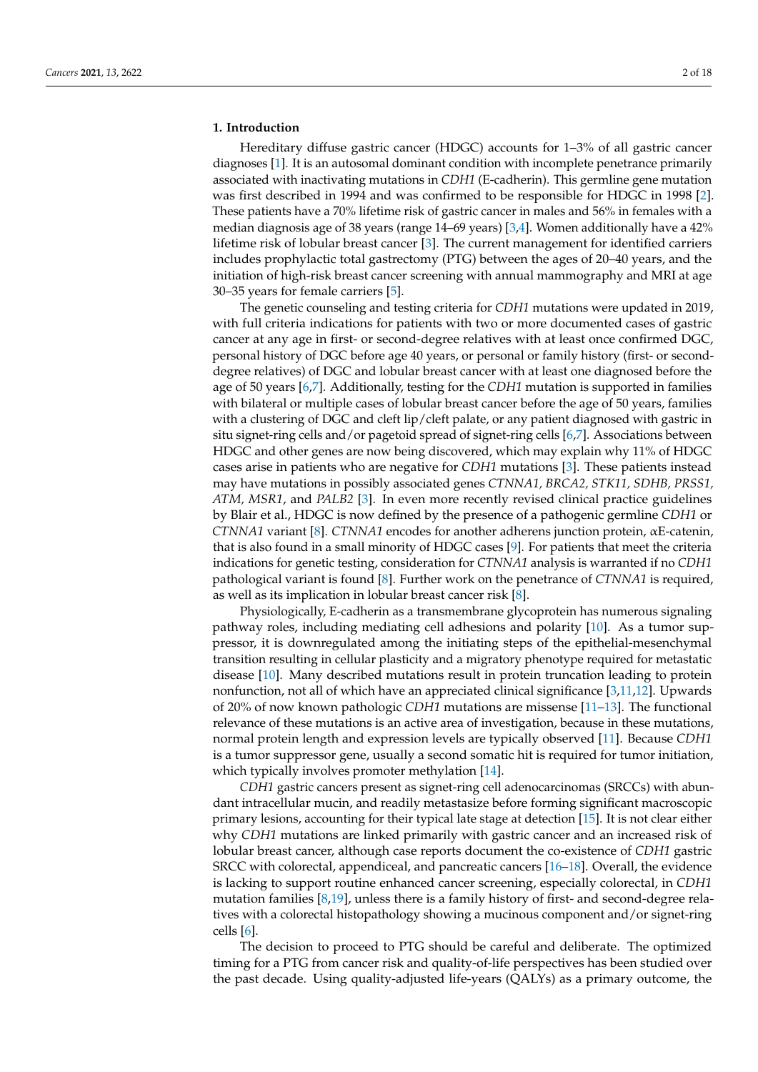#### **1. Introduction**

Hereditary diffuse gastric cancer (HDGC) accounts for 1–3% of all gastric cancer diagnoses [\[1\]](#page-14-0). It is an autosomal dominant condition with incomplete penetrance primarily associated with inactivating mutations in *CDH1* (E-cadherin). This germline gene mutation was first described in 1994 and was confirmed to be responsible for HDGC in 1998 [\[2\]](#page-14-1). These patients have a 70% lifetime risk of gastric cancer in males and 56% in females with a median diagnosis age of 38 years (range 14–69 years) [\[3,](#page-14-2)[4\]](#page-14-3). Women additionally have a 42% lifetime risk of lobular breast cancer [\[3\]](#page-14-2). The current management for identified carriers includes prophylactic total gastrectomy (PTG) between the ages of 20–40 years, and the initiation of high-risk breast cancer screening with annual mammography and MRI at age 30–35 years for female carriers [\[5\]](#page-14-4).

The genetic counseling and testing criteria for *CDH1* mutations were updated in 2019, with full criteria indications for patients with two or more documented cases of gastric cancer at any age in first- or second-degree relatives with at least once confirmed DGC, personal history of DGC before age 40 years, or personal or family history (first- or seconddegree relatives) of DGC and lobular breast cancer with at least one diagnosed before the age of 50 years [\[6](#page-14-5)[,7\]](#page-14-6). Additionally, testing for the *CDH1* mutation is supported in families with bilateral or multiple cases of lobular breast cancer before the age of 50 years, families with a clustering of DGC and cleft lip/cleft palate, or any patient diagnosed with gastric in situ signet-ring cells and/or pagetoid spread of signet-ring cells [\[6,](#page-14-5)[7\]](#page-14-6). Associations between HDGC and other genes are now being discovered, which may explain why 11% of HDGC cases arise in patients who are negative for *CDH1* mutations [\[3\]](#page-14-2). These patients instead may have mutations in possibly associated genes *CTNNA1, BRCA2, STK11, SDHB, PRSS1, ATM, MSR1*, and *PALB2* [\[3\]](#page-14-2). In even more recently revised clinical practice guidelines by Blair et al., HDGC is now defined by the presence of a pathogenic germline *CDH1* or *CTNNA1* variant [\[8\]](#page-14-7). *CTNNA1* encodes for another adherens junction protein, αE-catenin, that is also found in a small minority of HDGC cases [\[9\]](#page-14-8). For patients that meet the criteria indications for genetic testing, consideration for *CTNNA1* analysis is warranted if no *CDH1* pathological variant is found [\[8\]](#page-14-7). Further work on the penetrance of *CTNNA1* is required, as well as its implication in lobular breast cancer risk [\[8\]](#page-14-7).

Physiologically, E-cadherin as a transmembrane glycoprotein has numerous signaling pathway roles, including mediating cell adhesions and polarity [\[10\]](#page-14-9). As a tumor suppressor, it is downregulated among the initiating steps of the epithelial-mesenchymal transition resulting in cellular plasticity and a migratory phenotype required for metastatic disease [\[10\]](#page-14-9). Many described mutations result in protein truncation leading to protein nonfunction, not all of which have an appreciated clinical significance [\[3](#page-14-2)[,11](#page-14-10)[,12\]](#page-14-11). Upwards of 20% of now known pathologic *CDH1* mutations are missense [\[11–](#page-14-10)[13\]](#page-14-12). The functional relevance of these mutations is an active area of investigation, because in these mutations, normal protein length and expression levels are typically observed [\[11\]](#page-14-10). Because *CDH1* is a tumor suppressor gene, usually a second somatic hit is required for tumor initiation, which typically involves promoter methylation [\[14\]](#page-14-13).

*CDH1* gastric cancers present as signet-ring cell adenocarcinomas (SRCCs) with abundant intracellular mucin, and readily metastasize before forming significant macroscopic primary lesions, accounting for their typical late stage at detection [\[15\]](#page-14-14). It is not clear either why *CDH1* mutations are linked primarily with gastric cancer and an increased risk of lobular breast cancer, although case reports document the co-existence of *CDH1* gastric SRCC with colorectal, appendiceal, and pancreatic cancers [\[16](#page-14-15)[–18\]](#page-14-16). Overall, the evidence is lacking to support routine enhanced cancer screening, especially colorectal, in *CDH1* mutation families [\[8](#page-14-7)[,19\]](#page-15-0), unless there is a family history of first- and second-degree relatives with a colorectal histopathology showing a mucinous component and/or signet-ring cells [\[6\]](#page-14-5).

The decision to proceed to PTG should be careful and deliberate. The optimized timing for a PTG from cancer risk and quality-of-life perspectives has been studied over the past decade. Using quality-adjusted life-years (QALYs) as a primary outcome, the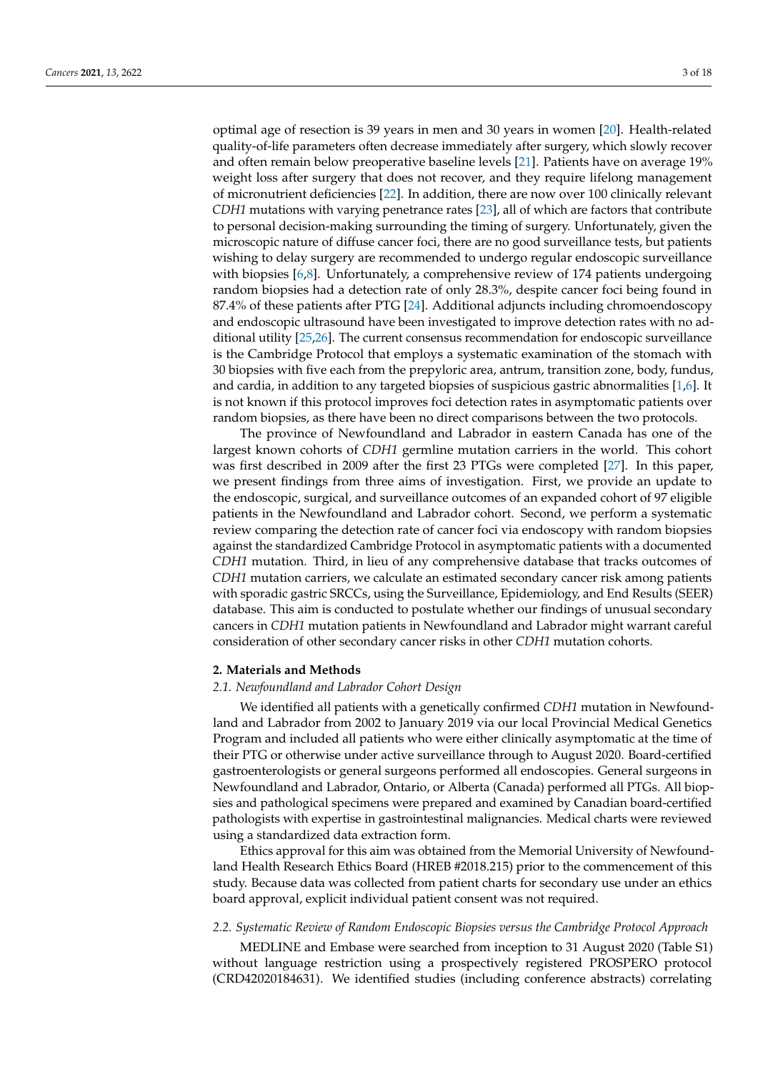optimal age of resection is 39 years in men and 30 years in women [\[20\]](#page-15-1). Health-related quality-of-life parameters often decrease immediately after surgery, which slowly recover and often remain below preoperative baseline levels [\[21\]](#page-15-2). Patients have on average 19% weight loss after surgery that does not recover, and they require lifelong management of micronutrient deficiencies [\[22\]](#page-15-3). In addition, there are now over 100 clinically relevant *CDH1* mutations with varying penetrance rates [\[23\]](#page-15-4), all of which are factors that contribute to personal decision-making surrounding the timing of surgery. Unfortunately, given the microscopic nature of diffuse cancer foci, there are no good surveillance tests, but patients wishing to delay surgery are recommended to undergo regular endoscopic surveillance with biopsies [\[6](#page-14-5)[,8\]](#page-14-7). Unfortunately, a comprehensive review of 174 patients undergoing random biopsies had a detection rate of only 28.3%, despite cancer foci being found in 87.4% of these patients after PTG [\[24\]](#page-15-5). Additional adjuncts including chromoendoscopy and endoscopic ultrasound have been investigated to improve detection rates with no additional utility [\[25,](#page-15-6)[26\]](#page-15-7). The current consensus recommendation for endoscopic surveillance is the Cambridge Protocol that employs a systematic examination of the stomach with 30 biopsies with five each from the prepyloric area, antrum, transition zone, body, fundus, and cardia, in addition to any targeted biopsies of suspicious gastric abnormalities [\[1](#page-14-0)[,6\]](#page-14-5). It is not known if this protocol improves foci detection rates in asymptomatic patients over random biopsies, as there have been no direct comparisons between the two protocols.

The province of Newfoundland and Labrador in eastern Canada has one of the largest known cohorts of *CDH1* germline mutation carriers in the world. This cohort was first described in 2009 after the first 23 PTGs were completed [\[27\]](#page-15-8). In this paper, we present findings from three aims of investigation. First, we provide an update to the endoscopic, surgical, and surveillance outcomes of an expanded cohort of 97 eligible patients in the Newfoundland and Labrador cohort. Second, we perform a systematic review comparing the detection rate of cancer foci via endoscopy with random biopsies against the standardized Cambridge Protocol in asymptomatic patients with a documented *CDH1* mutation. Third, in lieu of any comprehensive database that tracks outcomes of *CDH1* mutation carriers, we calculate an estimated secondary cancer risk among patients with sporadic gastric SRCCs, using the Surveillance, Epidemiology, and End Results (SEER) database. This aim is conducted to postulate whether our findings of unusual secondary cancers in *CDH1* mutation patients in Newfoundland and Labrador might warrant careful consideration of other secondary cancer risks in other *CDH1* mutation cohorts.

### **2. Materials and Methods**

## *2.1. Newfoundland and Labrador Cohort Design*

We identified all patients with a genetically confirmed *CDH1* mutation in Newfoundland and Labrador from 2002 to January 2019 via our local Provincial Medical Genetics Program and included all patients who were either clinically asymptomatic at the time of their PTG or otherwise under active surveillance through to August 2020. Board-certified gastroenterologists or general surgeons performed all endoscopies. General surgeons in Newfoundland and Labrador, Ontario, or Alberta (Canada) performed all PTGs. All biopsies and pathological specimens were prepared and examined by Canadian board-certified pathologists with expertise in gastrointestinal malignancies. Medical charts were reviewed using a standardized data extraction form.

Ethics approval for this aim was obtained from the Memorial University of Newfoundland Health Research Ethics Board (HREB #2018.215) prior to the commencement of this study. Because data was collected from patient charts for secondary use under an ethics board approval, explicit individual patient consent was not required.

### *2.2. Systematic Review of Random Endoscopic Biopsies versus the Cambridge Protocol Approach*

MEDLINE and Embase were searched from inception to 31 August 2020 (Table S1) without language restriction using a prospectively registered PROSPERO protocol (CRD42020184631). We identified studies (including conference abstracts) correlating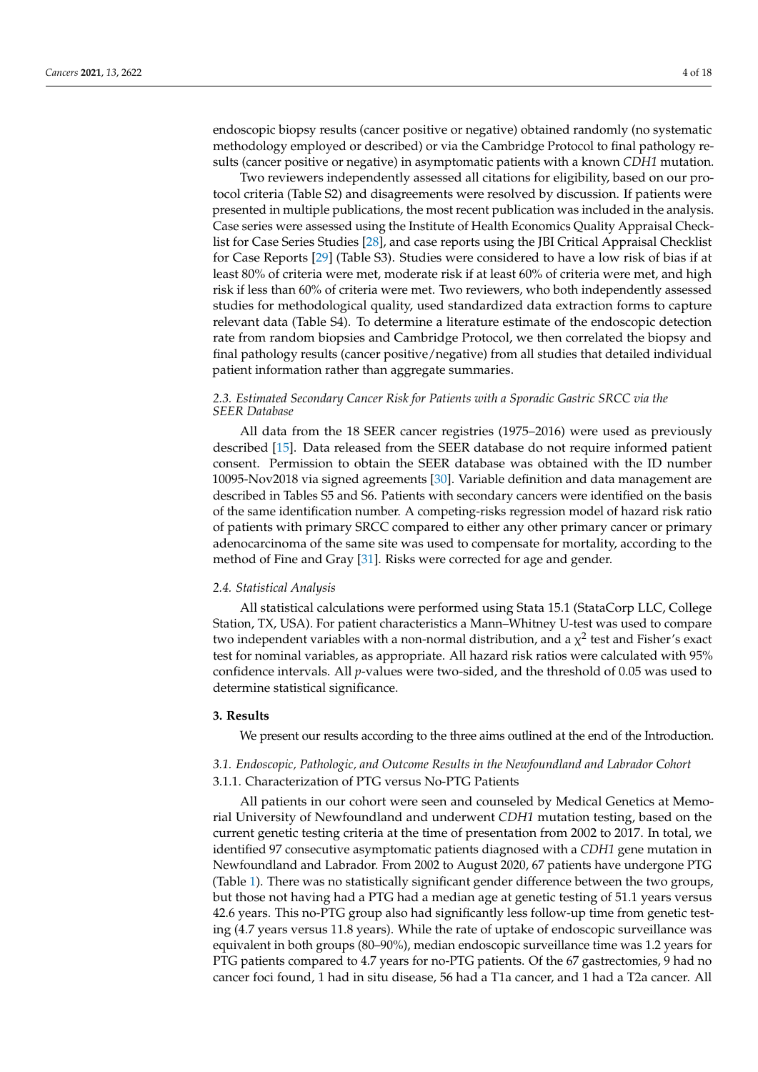endoscopic biopsy results (cancer positive or negative) obtained randomly (no systematic methodology employed or described) or via the Cambridge Protocol to final pathology results (cancer positive or negative) in asymptomatic patients with a known *CDH1* mutation.

Two reviewers independently assessed all citations for eligibility, based on our protocol criteria (Table S2) and disagreements were resolved by discussion. If patients were presented in multiple publications, the most recent publication was included in the analysis. Case series were assessed using the Institute of Health Economics Quality Appraisal Checklist for Case Series Studies [\[28\]](#page-15-9), and case reports using the JBI Critical Appraisal Checklist for Case Reports [\[29\]](#page-15-10) (Table S3). Studies were considered to have a low risk of bias if at least 80% of criteria were met, moderate risk if at least 60% of criteria were met, and high risk if less than 60% of criteria were met. Two reviewers, who both independently assessed studies for methodological quality, used standardized data extraction forms to capture relevant data (Table S4). To determine a literature estimate of the endoscopic detection rate from random biopsies and Cambridge Protocol, we then correlated the biopsy and final pathology results (cancer positive/negative) from all studies that detailed individual patient information rather than aggregate summaries.

# *2.3. Estimated Secondary Cancer Risk for Patients with a Sporadic Gastric SRCC via the SEER Database*

All data from the 18 SEER cancer registries (1975–2016) were used as previously described [\[15\]](#page-14-14). Data released from the SEER database do not require informed patient consent. Permission to obtain the SEER database was obtained with the ID number 10095-Nov2018 via signed agreements [\[30\]](#page-15-11). Variable definition and data management are described in Tables S5 and S6. Patients with secondary cancers were identified on the basis of the same identification number. A competing-risks regression model of hazard risk ratio of patients with primary SRCC compared to either any other primary cancer or primary adenocarcinoma of the same site was used to compensate for mortality, according to the method of Fine and Gray [\[31\]](#page-15-12). Risks were corrected for age and gender.

## *2.4. Statistical Analysis*

All statistical calculations were performed using Stata 15.1 (StataCorp LLC, College Station, TX, USA). For patient characteristics a Mann–Whitney U-test was used to compare two independent variables with a non-normal distribution, and a  $\chi^2$  test and Fisher's exact test for nominal variables, as appropriate. All hazard risk ratios were calculated with 95% confidence intervals. All *p*-values were two-sided, and the threshold of 0.05 was used to determine statistical significance.

## **3. Results**

We present our results according to the three aims outlined at the end of the Introduction.

# *3.1. Endoscopic, Pathologic, and Outcome Results in the Newfoundland and Labrador Cohort* 3.1.1. Characterization of PTG versus No-PTG Patients

All patients in our cohort were seen and counseled by Medical Genetics at Memorial University of Newfoundland and underwent *CDH1* mutation testing, based on the current genetic testing criteria at the time of presentation from 2002 to 2017. In total, we identified 97 consecutive asymptomatic patients diagnosed with a *CDH1* gene mutation in Newfoundland and Labrador. From 2002 to August 2020, 67 patients have undergone PTG (Table [1\)](#page-4-0). There was no statistically significant gender difference between the two groups, but those not having had a PTG had a median age at genetic testing of 51.1 years versus 42.6 years. This no-PTG group also had significantly less follow-up time from genetic testing (4.7 years versus 11.8 years). While the rate of uptake of endoscopic surveillance was equivalent in both groups (80–90%), median endoscopic surveillance time was 1.2 years for PTG patients compared to 4.7 years for no-PTG patients. Of the 67 gastrectomies, 9 had no cancer foci found, 1 had in situ disease, 56 had a T1a cancer, and 1 had a T2a cancer. All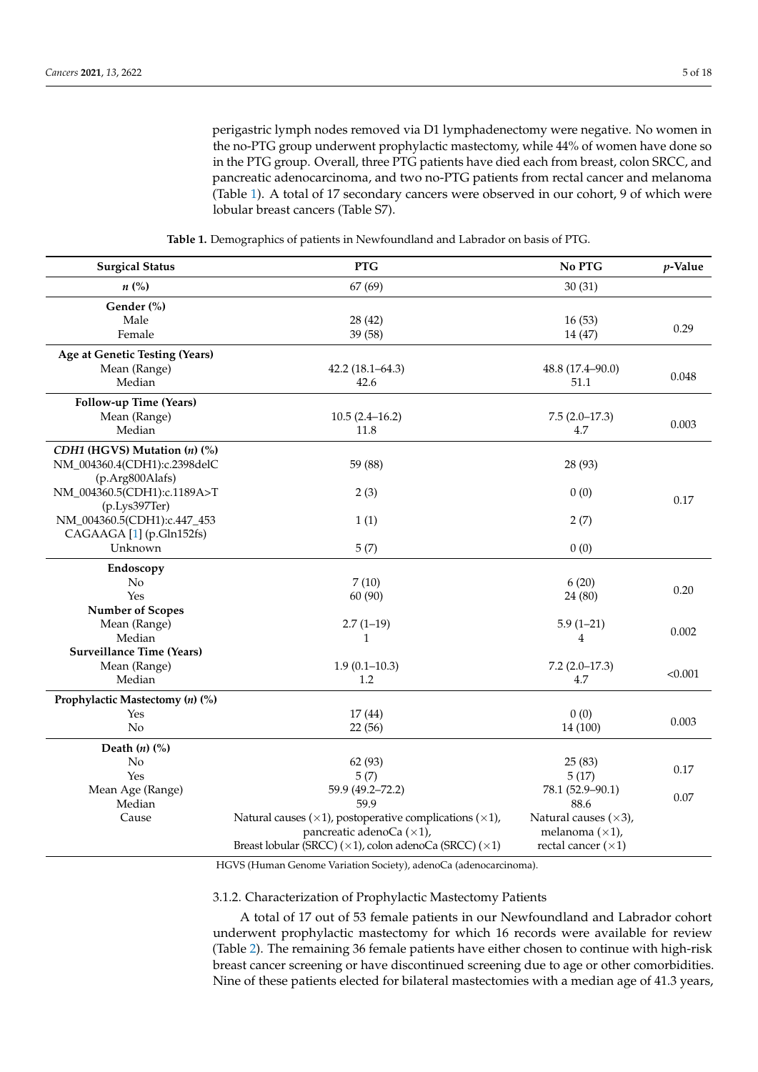perigastric lymph nodes removed via D1 lymphadenectomy were negative. No women in the no-PTG group underwent prophylactic mastectomy, while 44% of women have done so in the PTG group. Overall, three PTG patients have died each from breast, colon SRCC, and pancreatic adenocarcinoma, and two no-PTG patients from rectal cancer and melanoma (Table [1\)](#page-4-0). A total of 17 secondary cancers were observed in our cohort, 9 of which were lobular breast cancers (Table S7).

<span id="page-4-0"></span>

| <b>Surgical Status</b>           | <b>PTG</b>                                                               | No PTG                        | $p$ -Value |
|----------------------------------|--------------------------------------------------------------------------|-------------------------------|------------|
| $n\left(\%\right)$               | 67 (69)                                                                  | 30(31)                        |            |
| Gender (%)                       |                                                                          |                               |            |
| Male                             | 28 (42)                                                                  | 16(53)                        |            |
| Female                           | 39 (58)                                                                  | 14 (47)                       | 0.29       |
| Age at Genetic Testing (Years)   |                                                                          |                               |            |
| Mean (Range)                     | $42.2(18.1 - 64.3)$                                                      | 48.8 (17.4-90.0)              |            |
| Median                           | 42.6                                                                     | 51.1                          | 0.048      |
| Follow-up Time (Years)           |                                                                          |                               |            |
| Mean (Range)                     | $10.5(2.4 - 16.2)$                                                       | $7.5(2.0-17.3)$               |            |
| Median                           | 11.8                                                                     | 4.7                           | 0.003      |
| CDH1 (HGVS) Mutation (n) (%)     |                                                                          |                               |            |
| NM_004360.4(CDH1):c.2398delC     | 59 (88)                                                                  | 28 (93)                       |            |
| (p.Arg800Alafs)                  |                                                                          |                               |            |
| NM_004360.5(CDH1):c.1189A>T      | 2(3)                                                                     | 0(0)                          |            |
| (p.Lys397Ter)                    |                                                                          |                               | 0.17       |
| NM_004360.5(CDH1):c.447_453      | 1(1)                                                                     | 2(7)                          |            |
| CAGAAGA [1] (p.Gln152fs)         |                                                                          |                               |            |
| Unknown                          | 5(7)                                                                     | 0(0)                          |            |
|                                  |                                                                          |                               |            |
| Endoscopy<br>$\rm No$            | 7(10)                                                                    | 6(20)                         |            |
| Yes                              |                                                                          |                               | 0.20       |
| <b>Number of Scopes</b>          | 60 (90)                                                                  | 24 (80)                       |            |
|                                  |                                                                          |                               |            |
| Mean (Range)                     | $2.7(1-19)$                                                              | $5.9(1-21)$                   | 0.002      |
| Median                           | 1                                                                        | 4                             |            |
| <b>Surveillance Time (Years)</b> |                                                                          |                               |            |
| Mean (Range)                     | $1.9(0.1 - 10.3)$                                                        | $7.2(2.0-17.3)$               | < 0.001    |
| Median                           | 1.2                                                                      | 4.7                           |            |
| Prophylactic Mastectomy (n) (%)  |                                                                          |                               |            |
| Yes                              | 17(44)                                                                   | 0(0)                          | 0.003      |
| No                               | 22(56)                                                                   | 14 (100)                      |            |
| Death $(n)$ $(\%)$               |                                                                          |                               |            |
| No                               | 62 (93)                                                                  | 25(83)                        |            |
| Yes                              | 5(7)                                                                     | 5(17)                         | 0.17       |
| Mean Age (Range)                 | 59.9 (49.2-72.2)                                                         | 78.1 (52.9-90.1)              |            |
| Median                           | 59.9                                                                     | 88.6                          | 0.07       |
| Cause                            | Natural causes $(\times 1)$ , postoperative complications $(\times 1)$ , | Natural causes $(\times 3)$ , |            |
|                                  | pancreatic adenoCa $(\times 1)$ ,                                        | melanoma $(\times 1)$ ,       |            |
|                                  | Breast lobular (SRCC) (×1), colon adenoCa (SRCC) (×1)                    | rectal cancer $(\times 1)$    |            |

**Table 1.** Demographics of patients in Newfoundland and Labrador on basis of PTG.

HGVS (Human Genome Variation Society), adenoCa (adenocarcinoma).

# 3.1.2. Characterization of Prophylactic Mastectomy Patients

A total of 17 out of 53 female patients in our Newfoundland and Labrador cohort underwent prophylactic mastectomy for which 16 records were available for review (Table [2\)](#page-5-0). The remaining 36 female patients have either chosen to continue with high-risk breast cancer screening or have discontinued screening due to age or other comorbidities. Nine of these patients elected for bilateral mastectomies with a median age of 41.3 years,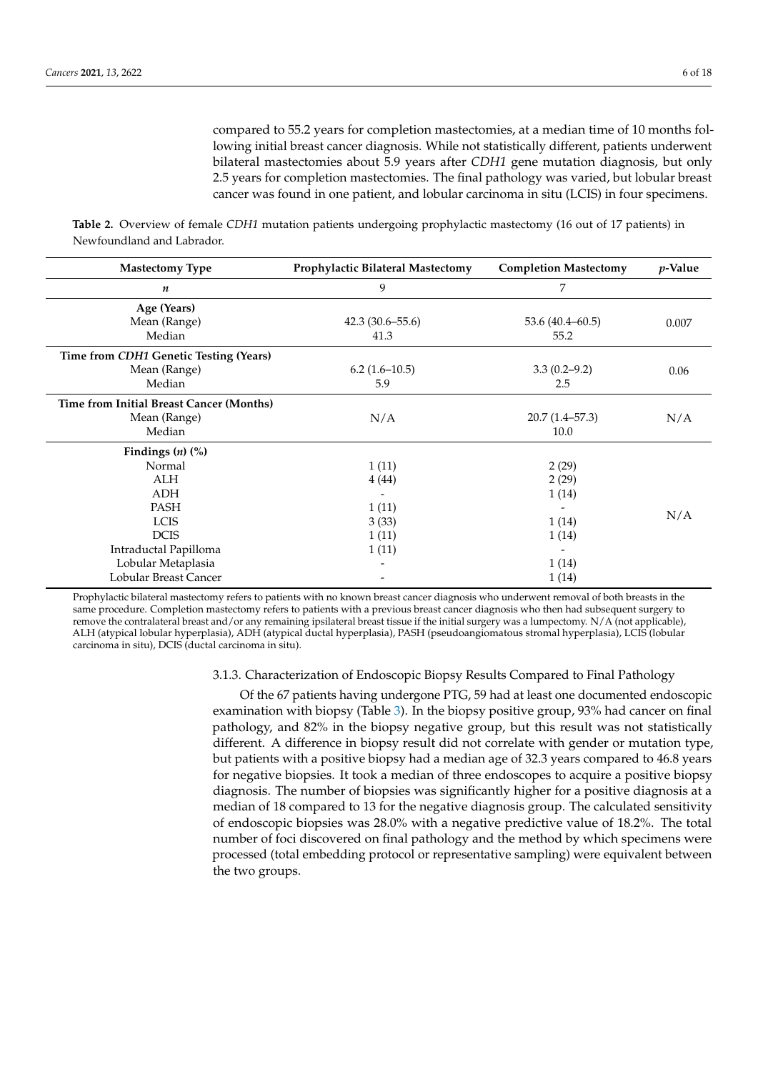compared to 55.2 years for completion mastectomies, at a median time of 10 months following initial breast cancer diagnosis. While not statistically different, patients underwent bilateral mastectomies about 5.9 years after *CDH1* gene mutation diagnosis, but only 2.5 years for completion mastectomies. The final pathology was varied, but lobular breast cancer was found in one patient, and lobular carcinoma in situ (LCIS) in four specimens.

<span id="page-5-0"></span>**Table 2.** Overview of female *CDH1* mutation patients undergoing prophylactic mastectomy (16 out of 17 patients) in Newfoundland and Labrador.

| <b>Mastectomy Type</b>                   | Prophylactic Bilateral Mastectomy | <b>Completion Mastectomy</b> | <i>p</i> -Value |
|------------------------------------------|-----------------------------------|------------------------------|-----------------|
| n                                        | 9                                 | 7                            |                 |
| Age (Years)                              |                                   |                              |                 |
| Mean (Range)                             | $42.3(30.6 - 55.6)$               | $53.6(40.4 - 60.5)$          | 0.007           |
| Median                                   | 41.3                              | 55.2                         |                 |
| Time from CDH1 Genetic Testing (Years)   |                                   |                              |                 |
| Mean (Range)                             | $6.2(1.6-10.5)$                   | $3.3(0.2 - 9.2)$             | 0.06            |
| Median                                   | 5.9                               | 2.5                          |                 |
| Time from Initial Breast Cancer (Months) |                                   |                              |                 |
| Mean (Range)                             | N/A                               | $20.7(1.4-57.3)$             | N/A             |
| Median                                   |                                   | 10.0                         |                 |
| Findings $(n)$ $(\%)$                    |                                   |                              |                 |
| Normal                                   | 1(11)                             | 2(29)                        |                 |
| ALH                                      | 4(44)                             | 2(29)                        |                 |
| ADH                                      |                                   | 1(14)                        |                 |
| <b>PASH</b>                              | 1(11)                             |                              |                 |
| <b>LCIS</b>                              | 3(33)                             | 1(14)                        | N/A             |
| <b>DCIS</b>                              | 1(11)                             | 1(14)                        |                 |
| Intraductal Papilloma                    | 1(11)                             |                              |                 |
| Lobular Metaplasia                       |                                   | 1(14)                        |                 |
| Lobular Breast Cancer                    |                                   | 1(14)                        |                 |

Prophylactic bilateral mastectomy refers to patients with no known breast cancer diagnosis who underwent removal of both breasts in the same procedure. Completion mastectomy refers to patients with a previous breast cancer diagnosis who then had subsequent surgery to remove the contralateral breast and/or any remaining ipsilateral breast tissue if the initial surgery was a lumpectomy. N/A (not applicable), ALH (atypical lobular hyperplasia), ADH (atypical ductal hyperplasia), PASH (pseudoangiomatous stromal hyperplasia), LCIS (lobular carcinoma in situ), DCIS (ductal carcinoma in situ).

# 3.1.3. Characterization of Endoscopic Biopsy Results Compared to Final Pathology

Of the 67 patients having undergone PTG, 59 had at least one documented endoscopic examination with biopsy (Table [3\)](#page-6-0). In the biopsy positive group, 93% had cancer on final pathology, and 82% in the biopsy negative group, but this result was not statistically different. A difference in biopsy result did not correlate with gender or mutation type, but patients with a positive biopsy had a median age of 32.3 years compared to 46.8 years for negative biopsies. It took a median of three endoscopes to acquire a positive biopsy diagnosis. The number of biopsies was significantly higher for a positive diagnosis at a median of 18 compared to 13 for the negative diagnosis group. The calculated sensitivity of endoscopic biopsies was 28.0% with a negative predictive value of 18.2%. The total number of foci discovered on final pathology and the method by which specimens were processed (total embedding protocol or representative sampling) were equivalent between the two groups.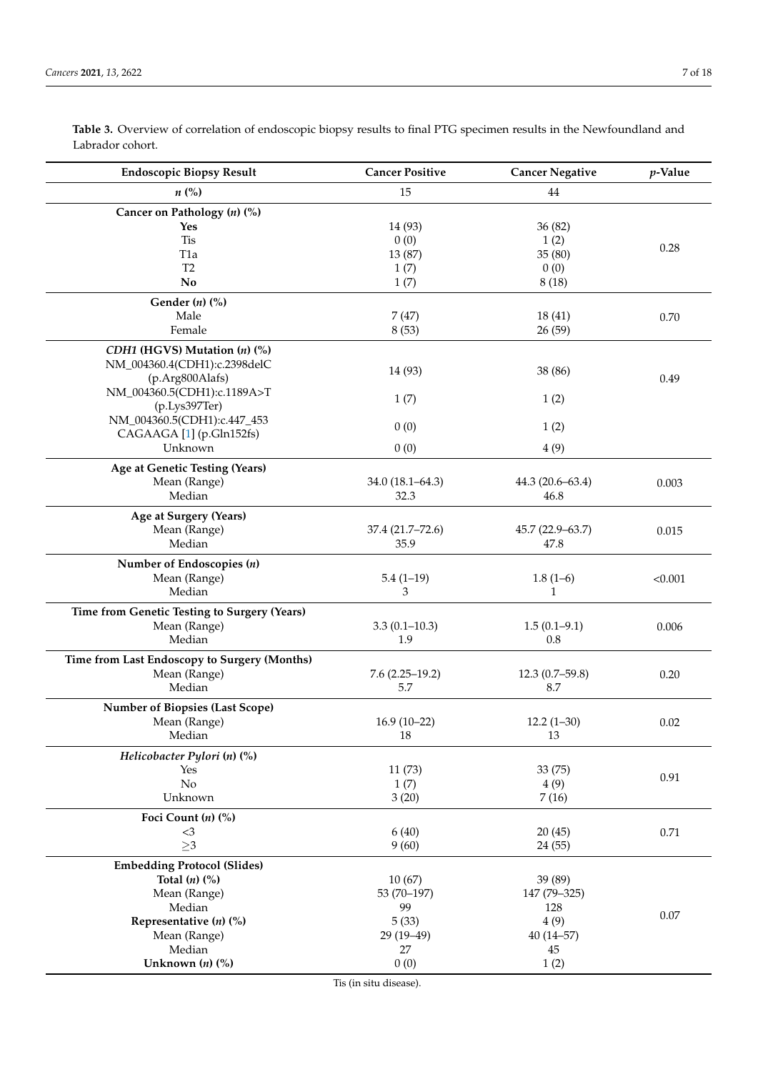| <b>Endoscopic Biopsy Result</b>              | <b>Cancer Positive</b> | <b>Cancer Negative</b> | p-Value |
|----------------------------------------------|------------------------|------------------------|---------|
| $n\ (\%)$                                    | 15                     | 44                     |         |
| Cancer on Pathology (n) (%)                  |                        |                        |         |
| Yes                                          | 14 (93)                | 36(82)                 |         |
| <b>Tis</b>                                   | 0(0)                   | 1(2)                   |         |
| T1a                                          | 13 (87)                | 35(80)                 | 0.28    |
| T <sub>2</sub>                               | 1(7)                   | 0(0)                   |         |
| $\mathbf{N}\mathbf{o}$                       | 1(7)                   | 8(18)                  |         |
| Gender $(n)$ $(\%)$                          |                        |                        |         |
| Male                                         | 7(47)                  | 18(41)                 | 0.70    |
| Female                                       | 8(53)                  | 26(59)                 |         |
|                                              |                        |                        |         |
| CDH1 (HGVS) Mutation (n) (%)                 |                        |                        |         |
| NM_004360.4(CDH1):c.2398delC                 | 14 (93)                | 38 (86)                |         |
| (p.Arg800Alafs)                              |                        |                        | 0.49    |
| NM_004360.5(CDH1):c.1189A>T                  | 1(7)                   | 1(2)                   |         |
| (p.Lys397Ter)                                |                        |                        |         |
| NM_004360.5(CDH1):c.447_453                  | 0(0)                   | 1(2)                   |         |
| CAGAAGA [1] (p.Gln152fs)                     |                        |                        |         |
| Unknown                                      | 0(0)                   | 4(9)                   |         |
| Age at Genetic Testing (Years)               |                        |                        |         |
| Mean (Range)                                 | 34.0 (18.1-64.3)       | 44.3 (20.6-63.4)       | 0.003   |
| Median                                       | 32.3                   | 46.8                   |         |
| Age at Surgery (Years)                       |                        |                        |         |
| Mean (Range)                                 | 37.4 (21.7-72.6)       | 45.7 (22.9-63.7)       | 0.015   |
| Median                                       | 35.9                   | 47.8                   |         |
| Number of Endoscopies (n)                    |                        |                        |         |
| Mean (Range)                                 | $5.4(1-19)$            | $1.8(1-6)$             | < 0.001 |
| Median                                       | 3                      | 1                      |         |
| Time from Genetic Testing to Surgery (Years) |                        |                        |         |
| Mean (Range)                                 | $3.3(0.1 - 10.3)$      | $1.5(0.1-9.1)$         | 0.006   |
| Median                                       | 1.9                    | 0.8                    |         |
|                                              |                        |                        |         |
| Time from Last Endoscopy to Surgery (Months) |                        |                        |         |
| Mean (Range)                                 | $7.6(2.25-19.2)$       | $12.3(0.7-59.8)$       | 0.20    |
| Median                                       | 5.7                    | 8.7                    |         |
| Number of Biopsies (Last Scope)              |                        |                        |         |
| Mean (Range)                                 | $16.9(10-22)$          | $12.2(1-30)$           | 0.02    |
| Median                                       | 18                     | 13                     |         |
| Helicobacter Pylori (n) (%)                  |                        |                        |         |
| Yes                                          | 11(73)                 | 33 (75)                | 0.91    |
| $\rm No$                                     | 1(7)                   | 4(9)                   |         |
| Unknown                                      | 3(20)                  | 7(16)                  |         |
| Foci Count (n) (%)                           |                        |                        |         |
| $<$ 3                                        | 6(40)                  | 20(45)                 | 0.71    |
| $\geq$ 3                                     | 9(60)                  | 24 (55)                |         |
| <b>Embedding Protocol (Slides)</b>           |                        |                        |         |
| Total $(n)$ $\left(\frac{0}{0}\right)$       | 10(67)                 | 39 (89)                |         |
| Mean (Range)                                 | 53 (70-197)            | 147 (79-325)           |         |
| Median                                       | 99                     | 128                    |         |
| Representative $(n)$ $(\%)$                  | 5(33)                  | 4(9)                   | 0.07    |
| Mean (Range)                                 | 29 (19-49)             | $40(14 - 57)$          |         |
| Median                                       | 27                     | 45                     |         |
| Unknown $(n)$ $(\%)$                         | 0(0)                   | 1(2)                   |         |
|                                              |                        |                        |         |

<span id="page-6-0"></span>**Table 3.** Overview of correlation of endoscopic biopsy results to final PTG specimen results in the Newfoundland and Labrador cohort.

Tis (in situ disease).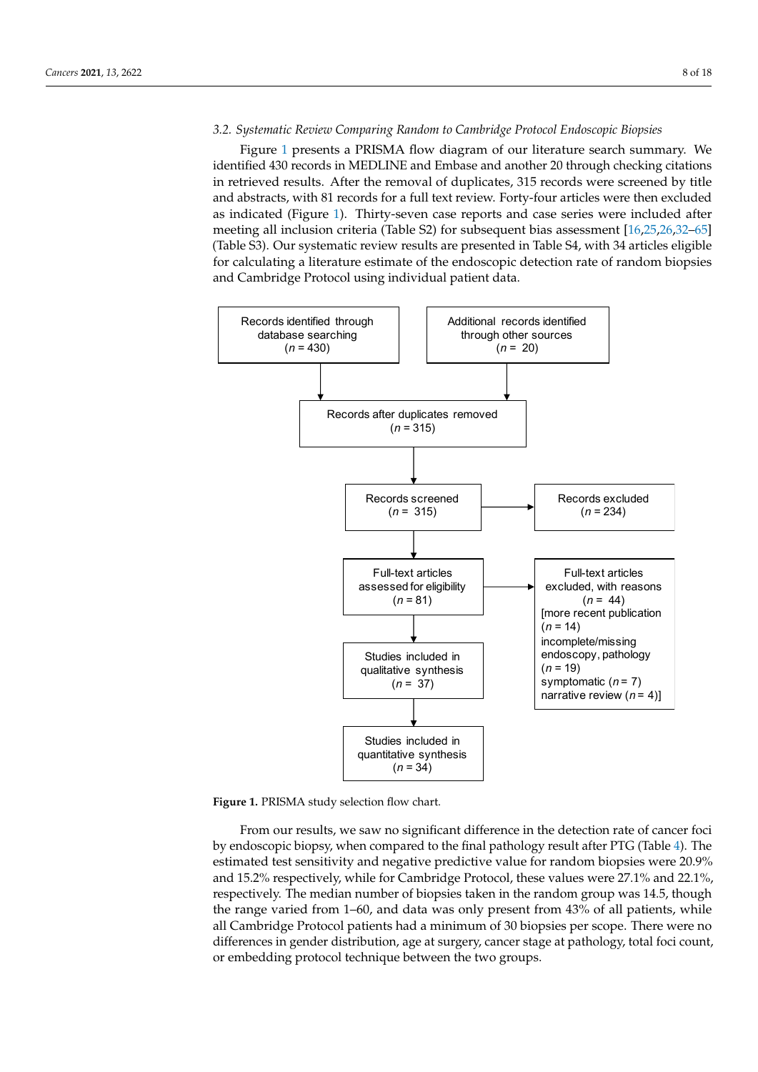# *3.2. Systematic Review Comparing Random to Cambridge Protocol Endoscopic Biopsies 3.2. Systematic Review Comparing Random to Cambridge Protocol Endoscopic Biopsies*

Figure 1 presents a PRISMA flow diagram of our literature search summary. We Figur[e 1](#page-7-0) presents a PRISMA flow diagram of our literature search summary. We identified 430 records in MEDLINE and Embase and another 20 through checking citations in retrieved results. After the removal of duplicates, 315 records were screened by title and abstracts, with 81 records for a full text review. Forty-four articles were then excluded as indicated (Figure [1\)](#page-7-0). Thirty-seven case reports and case series were included after<br>cluded after meeting all inclusion criteria (Table S2) for subsequent bias assessment [\[16](#page-14-15)[,25](#page-15-6)[,26](#page-15-7)[,32–](#page-15-13)[65\]](#page-16-0)<br>
and the same of the subsequent bias assessment [16,25,26,32–65] (Table S3). Our systematic review results are presented in Table S4, with 34 articles eligible (Table S4). for calculating a literature estimate of the endoscopic detection rate of random biopsies and Cambridge Protocol using individual patient data. biopsies and Cambridge Protocol using individual patient data.

<span id="page-7-0"></span>

**Figure 1.** PRISMA study selection flow chart. **Figure 1.** PRISMA study selection flow chart.

From our results, we saw no significant difference in the detection rate of cancer foci From our results, we saw no significant difference in the detection rate of cancer foci by endoscopic biopsy, when compared to the final pathology result after PTG ([Ta](#page-8-0)ble 4). by endoscopic biopsy, when compared to the final pathology result after PTG (Table 4). The estimated test sensitivity and negative predictive value for random biopsies were 20.9% and 15.2% respectively, while for Cambridge Protocol, these values were 27.1% and 22.1%, respectively. The median number of biopsies taken in the random group was 14.5, though the range varied from 1–60, and data was only present from 43% of all patients, while all Cambridge Protocol patients had a minimum of 30 biopsies per scope. There were no differences in gender distribution, age at surgery, cancer stage at pathology, total foci count, or embedding protocol technique between the two groups.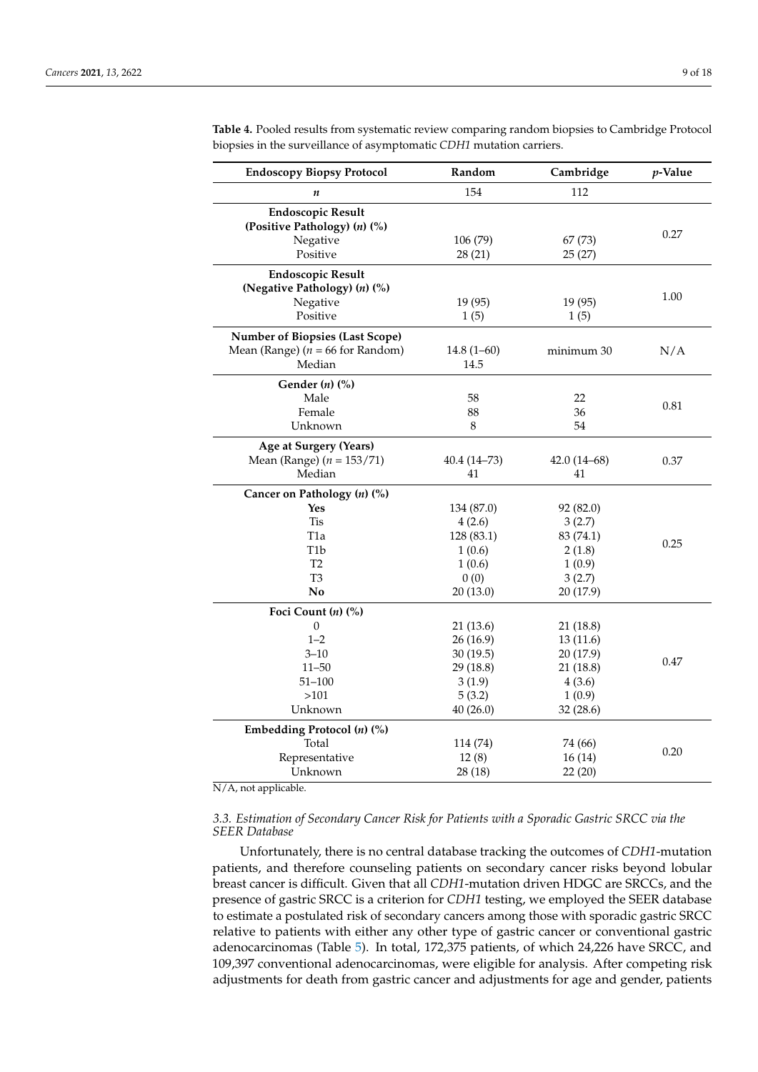| <b>Endoscopy Biopsy Protocol</b>                                                                                                          | Random                                                                         | Cambridge                                                                      | p-Value |
|-------------------------------------------------------------------------------------------------------------------------------------------|--------------------------------------------------------------------------------|--------------------------------------------------------------------------------|---------|
| $\boldsymbol{n}$                                                                                                                          | 154                                                                            | 112                                                                            |         |
| <b>Endoscopic Result</b><br>(Positive Pathology) (n) (%)                                                                                  |                                                                                |                                                                                |         |
| Negative<br>Positive                                                                                                                      | 106 (79)<br>28(21)                                                             | 67 (73)<br>25(27)                                                              | 0.27    |
| <b>Endoscopic Result</b><br>(Negative Pathology) (n) (%)                                                                                  |                                                                                |                                                                                | 1.00    |
| Negative<br>Positive                                                                                                                      | 19 (95)<br>1(5)                                                                | 19 (95)<br>1(5)                                                                |         |
| <b>Number of Biopsies (Last Scope)</b><br>Mean (Range) ( $n = 66$ for Random)<br>Median                                                   | $14.8(1-60)$<br>14.5                                                           | minimum 30                                                                     | N/A     |
| Gender $(n)$ $(\%)$<br>Male<br>Female<br>Unknown                                                                                          | 58<br>88<br>8                                                                  | 22<br>36<br>54                                                                 | 0.81    |
| Age at Surgery (Years)<br>Mean (Range) ( $n = 153/71$ )<br>Median                                                                         | 40.4 (14–73)<br>41                                                             | $42.0(14-68)$<br>41                                                            | 0.37    |
| Cancer on Pathology (n) (%)<br><b>Yes</b><br><b>Tis</b><br>T <sub>1</sub> a<br>T <sub>1</sub> b<br>T <sub>2</sub><br>T <sub>3</sub><br>No | 134 (87.0)<br>4(2.6)<br>128 (83.1)<br>1(0.6)<br>1(0.6)<br>0(0)<br>20(13.0)     | 92 (82.0)<br>3(2.7)<br>83 (74.1)<br>2(1.8)<br>1(0.9)<br>3(2.7)<br>20 (17.9)    | 0.25    |
| Foci Count (n) (%)<br>$\theta$<br>$1 - 2$<br>$3 - 10$<br>$11 - 50$<br>$51 - 100$<br>>101<br>Unknown                                       | 21(13.6)<br>26 (16.9)<br>30(19.5)<br>29 (18.8)<br>3(1.9)<br>5(3.2)<br>40(26.0) | 21(18.8)<br>13(11.6)<br>20 (17.9)<br>21(18.8)<br>4(3.6)<br>1(0.9)<br>32 (28.6) | 0.47    |
| Embedding Protocol $(n)$ $(\%)$<br>Total<br>Representative<br>Unknown                                                                     | 114 (74)<br>12(8)<br>28 (18)                                                   | 74 (66)<br>16 (14)<br>22(20)                                                   | 0.20    |

<span id="page-8-0"></span>**Table 4.** Pooled results from systematic review comparing random biopsies to Cambridge Protocol biopsies in the surveillance of asymptomatic *CDH1* mutation carriers.

N/A, not applicable.

<span id="page-8-1"></span>*3.3. Estimation of Secondary Cancer Risk for Patients with a Sporadic Gastric SRCC via the SEER Database*

Unfortunately, there is no central database tracking the outcomes of *CDH1*-mutation patients, and therefore counseling patients on secondary cancer risks beyond lobular breast cancer is difficult. Given that all *CDH1*-mutation driven HDGC are SRCCs, and the presence of gastric SRCC is a criterion for *CDH1* testing, we employed the SEER database to estimate a postulated risk of secondary cancers among those with sporadic gastric SRCC relative to patients with either any other type of gastric cancer or conventional gastric adenocarcinomas (Table [5\)](#page-9-0). In total, 172,375 patients, of which 24,226 have SRCC, and 109,397 conventional adenocarcinomas, were eligible for analysis. After competing risk adjustments for death from gastric cancer and adjustments for age and gender, patients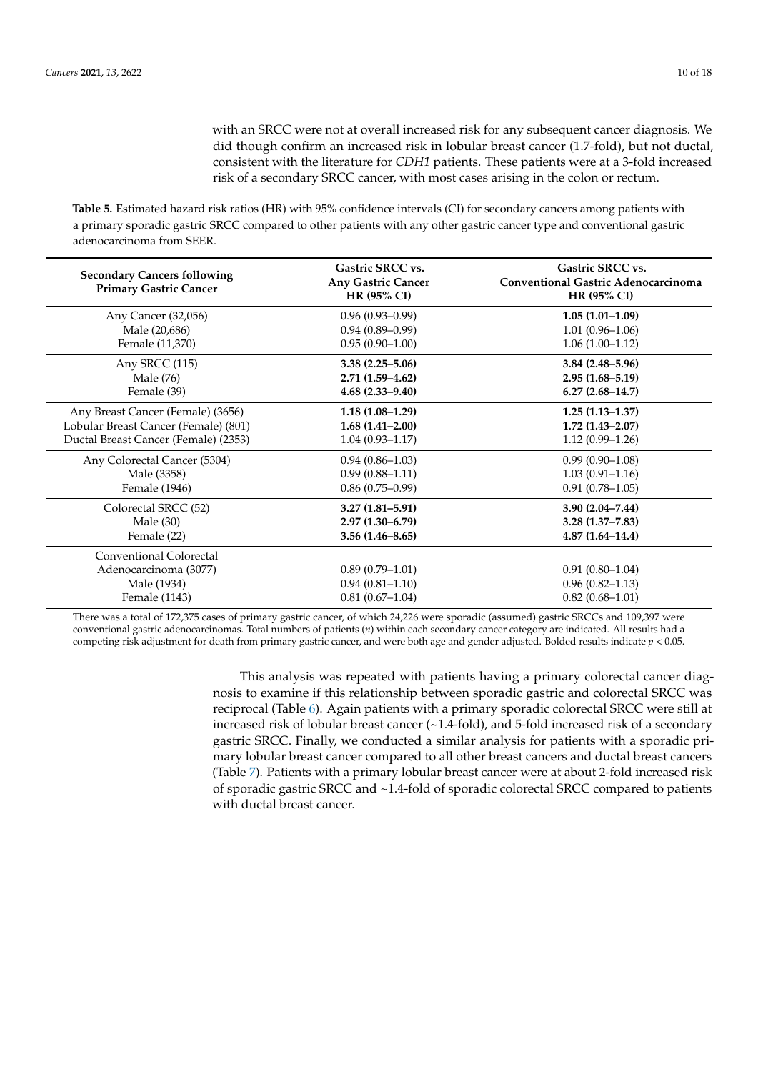with an SRCC were not at overall increased risk for any subsequent cancer diagnosis. We did though confirm an increased risk in lobular breast cancer (1.7-fold), but not ductal, consistent with the literature for *CDH1* patients. These patients were at a 3-fold increased risk of a secondary SRCC cancer, with most cases arising in the colon or rectum.

<span id="page-9-0"></span>**Table 5.** Estimated hazard risk ratios (HR) with 95% confidence intervals (CI) for secondary cancers among patients with a primary sporadic gastric SRCC compared to other patients with any other gastric cancer type and conventional gastric adenocarcinoma from SEER.

| <b>Secondary Cancers following</b><br><b>Primary Gastric Cancer</b> | Gastric SRCC vs.<br><b>Any Gastric Cancer</b><br><b>HR (95% CI)</b> | Gastric SRCC vs.<br>Conventional Gastric Adenocarcinoma<br><b>HR (95% CI)</b> |
|---------------------------------------------------------------------|---------------------------------------------------------------------|-------------------------------------------------------------------------------|
| Any Cancer (32,056)                                                 | $0.96(0.93 - 0.99)$                                                 | $1.05(1.01-1.09)$                                                             |
| Male (20,686)                                                       | $0.94(0.89 - 0.99)$                                                 | $1.01(0.96 - 1.06)$                                                           |
| Female (11,370)                                                     | $0.95(0.90-1.00)$                                                   | $1.06(1.00-1.12)$                                                             |
| Any SRCC (115)                                                      | $3.38(2.25 - 5.06)$                                                 | $3.84(2.48 - 5.96)$                                                           |
| Male (76)                                                           | $2.71(1.59 - 4.62)$                                                 | $2.95(1.68 - 5.19)$                                                           |
| Female (39)                                                         | $4.68(2.33 - 9.40)$                                                 | $6.27(2.68-14.7)$                                                             |
| Any Breast Cancer (Female) (3656)                                   | $1.18(1.08-1.29)$                                                   | $1.25(1.13 - 1.37)$                                                           |
| Lobular Breast Cancer (Female) (801)                                | $1.68(1.41 - 2.00)$                                                 | $1.72(1.43 - 2.07)$                                                           |
| Ductal Breast Cancer (Female) (2353)                                | $1.04(0.93 - 1.17)$                                                 | $1.12(0.99 - 1.26)$                                                           |
| Any Colorectal Cancer (5304)                                        | $0.94(0.86 - 1.03)$                                                 | $0.99(0.90-1.08)$                                                             |
| Male (3358)                                                         | $0.99(0.88 - 1.11)$                                                 | $1.03(0.91 - 1.16)$                                                           |
| Female (1946)                                                       | $0.86(0.75-0.99)$                                                   | $0.91(0.78 - 1.05)$                                                           |
| Colorectal SRCC (52)                                                | $3.27(1.81 - 5.91)$                                                 | $3.90(2.04 - 7.44)$                                                           |
| Male (30)                                                           | $2.97(1.30 - 6.79)$                                                 | $3.28(1.37 - 7.83)$                                                           |
| Female (22)                                                         | $3.56(1.46 - 8.65)$                                                 | $4.87(1.64 - 14.4)$                                                           |
| Conventional Colorectal                                             |                                                                     |                                                                               |
| Adenocarcinoma (3077)                                               | $0.89(0.79-1.01)$                                                   | $0.91(0.80-1.04)$                                                             |
| Male (1934)                                                         | $0.94(0.81 - 1.10)$                                                 | $0.96(0.82 - 1.13)$                                                           |
| Female (1143)                                                       | $0.81(0.67-1.04)$                                                   | $0.82(0.68 - 1.01)$                                                           |

There was a total of 172,375 cases of primary gastric cancer, of which 24,226 were sporadic (assumed) gastric SRCCs and 109,397 were conventional gastric adenocarcinomas. Total numbers of patients (*n*) within each secondary cancer category are indicated. All results had a competing risk adjustment for death from primary gastric cancer, and were both age and gender adjusted. Bolded results indicate *p* < 0.05.

> This analysis was repeated with patients having a primary colorectal cancer diagnosis to examine if this relationship between sporadic gastric and colorectal SRCC was reciprocal (Table [6\)](#page-10-0). Again patients with a primary sporadic colorectal SRCC were still at increased risk of lobular breast cancer  $(\sim 1.4\text{-}fold)$ , and 5-fold increased risk of a secondary gastric SRCC. Finally, we conducted a similar analysis for patients with a sporadic primary lobular breast cancer compared to all other breast cancers and ductal breast cancers (Table [7\)](#page-10-1). Patients with a primary lobular breast cancer were at about 2-fold increased risk of sporadic gastric SRCC and ~1.4-fold of sporadic colorectal SRCC compared to patients with ductal breast cancer.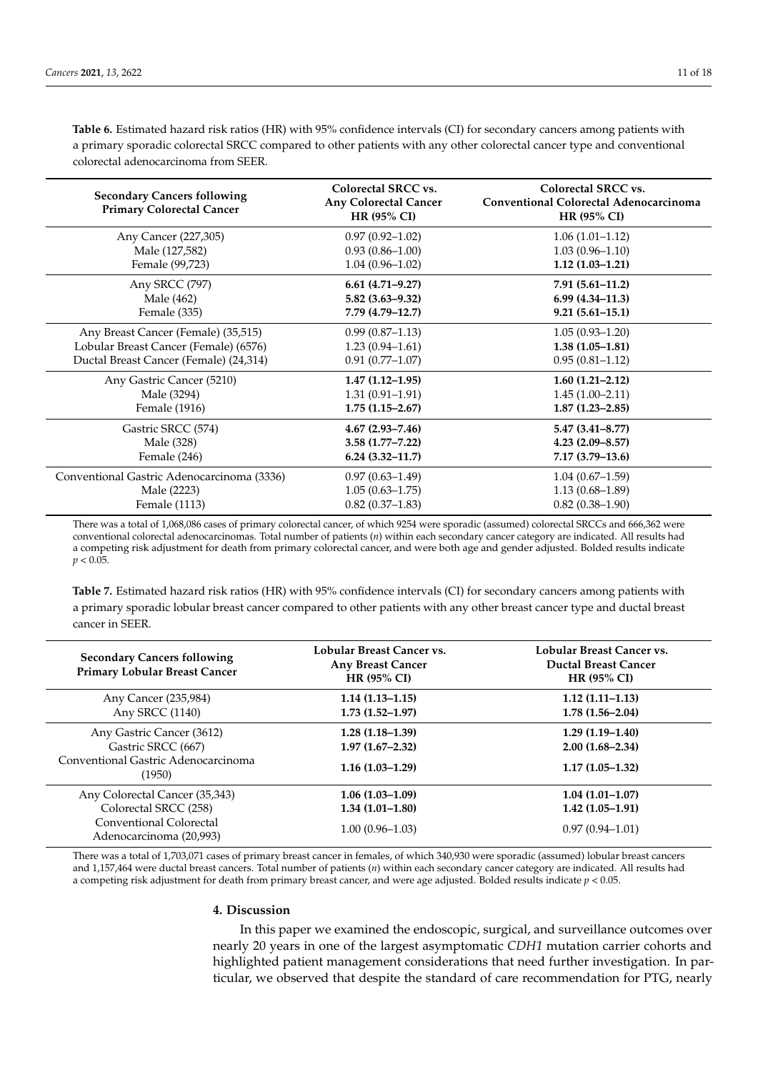<span id="page-10-0"></span>**Table 6.** Estimated hazard risk ratios (HR) with 95% confidence intervals (CI) for secondary cancers among patients with a primary sporadic colorectal SRCC compared to other patients with any other colorectal cancer type and conventional colorectal adenocarcinoma from SEER.

| <b>Secondary Cancers following</b><br><b>Primary Colorectal Cancer</b> | Colorectal SRCC vs.<br><b>Any Colorectal Cancer</b><br><b>HR (95% CI)</b> | Colorectal SRCC vs.<br><b>Conventional Colorectal Adenocarcinoma</b><br><b>HR (95% CI)</b> |
|------------------------------------------------------------------------|---------------------------------------------------------------------------|--------------------------------------------------------------------------------------------|
| Any Cancer (227,305)                                                   | $0.97(0.92 - 1.02)$                                                       | $1.06(1.01-1.12)$                                                                          |
| Male (127,582)                                                         | $0.93(0.86 - 1.00)$                                                       | $1.03(0.96 - 1.10)$                                                                        |
| Female (99,723)                                                        | $1.04(0.96 - 1.02)$                                                       | $1.12(1.03 - 1.21)$                                                                        |
| Any SRCC (797)                                                         | $6.61(4.71 - 9.27)$                                                       | $7.91(5.61-11.2)$                                                                          |
| Male (462)                                                             | $5.82(3.63 - 9.32)$                                                       | $6.99(4.34-11.3)$                                                                          |
| Female (335)                                                           | 7.79 (4.79–12.7)                                                          | $9.21(5.61 - 15.1)$                                                                        |
| Any Breast Cancer (Female) (35,515)                                    | $0.99(0.87-1.13)$                                                         | $1.05(0.93 - 1.20)$                                                                        |
| Lobular Breast Cancer (Female) (6576)                                  | $1.23(0.94 - 1.61)$                                                       | $1.38(1.05-1.81)$                                                                          |
| Ductal Breast Cancer (Female) (24,314)                                 | $0.91(0.77-1.07)$                                                         | $0.95(0.81 - 1.12)$                                                                        |
| Any Gastric Cancer (5210)                                              | $1.47(1.12 - 1.95)$                                                       | $1.60(1.21-2.12)$                                                                          |
| Male (3294)                                                            | $1.31(0.91 - 1.91)$                                                       | $1.45(1.00-2.11)$                                                                          |
| Female (1916)                                                          | $1.75(1.15-2.67)$                                                         | $1.87(1.23 - 2.85)$                                                                        |
| Gastric SRCC (574)                                                     | $4.67(2.93 - 7.46)$                                                       | $5.47(3.41 - 8.77)$                                                                        |
| Male (328)                                                             | $3.58(1.77 - 7.22)$                                                       | $4.23(2.09 - 8.57)$                                                                        |
| Female (246)                                                           | $6.24(3.32 - 11.7)$                                                       | $7.17(3.79-13.6)$                                                                          |
| Conventional Gastric Adenocarcinoma (3336)                             | $0.97(0.63 - 1.49)$                                                       | $1.04(0.67-1.59)$                                                                          |
| Male (2223)                                                            | $1.05(0.63 - 1.75)$                                                       | $1.13(0.68 - 1.89)$                                                                        |
| Female (1113)                                                          | $0.82(0.37-1.83)$                                                         | $0.82(0.38 - 1.90)$                                                                        |

There was a total of 1,068,086 cases of primary colorectal cancer, of which 9254 were sporadic (assumed) colorectal SRCCs and 666,362 were conventional colorectal adenocarcinomas. Total number of patients (*n*) within each secondary cancer category are indicated. All results had a competing risk adjustment for death from primary colorectal cancer, and were both age and gender adjusted. Bolded results indicate  $p < 0.05$ .

<span id="page-10-1"></span>**Table 7.** Estimated hazard risk ratios (HR) with 95% confidence intervals (CI) for secondary cancers among patients with a primary sporadic lobular breast cancer compared to other patients with any other breast cancer type and ductal breast cancer in SEER.

| <b>Secondary Cancers following</b><br><b>Primary Lobular Breast Cancer</b> | Lobular Breast Cancer vs.<br><b>Any Breast Cancer</b><br>$HR(95\% CI)$ | Lobular Breast Cancer vs.<br><b>Ductal Breast Cancer</b><br><b>HR (95% CI)</b> |
|----------------------------------------------------------------------------|------------------------------------------------------------------------|--------------------------------------------------------------------------------|
| Any Cancer (235,984)                                                       | $1.14(1.13-1.15)$                                                      | $1.12(1.11-1.13)$                                                              |
| Any SRCC (1140)                                                            | $1.73(1.52 - 1.97)$                                                    | $1.78(1.56 - 2.04)$                                                            |
| Any Gastric Cancer (3612)                                                  | $1.28(1.18-1.39)$                                                      | $1.29(1.19-1.40)$                                                              |
| Gastric SRCC (667)                                                         | $1.97(1.67 - 2.32)$                                                    | $2.00(1.68 - 2.34)$                                                            |
| Conventional Gastric Adenocarcinoma<br>(1950)                              | $1.16(1.03-1.29)$                                                      | $1.17(1.05-1.32)$                                                              |
| Any Colorectal Cancer (35,343)                                             | $1.06(1.03-1.09)$                                                      | $1.04(1.01-1.07)$                                                              |
| Colorectal SRCC (258)                                                      | $1.34(1.01-1.80)$                                                      | $1.42(1.05-1.91)$                                                              |
| Conventional Colorectal<br>Adenocarcinoma (20,993)                         | $1.00(0.96 - 1.03)$                                                    | $0.97(0.94 - 1.01)$                                                            |

There was a total of 1,703,071 cases of primary breast cancer in females, of which 340,930 were sporadic (assumed) lobular breast cancers and 1,157,464 were ductal breast cancers. Total number of patients (*n*) within each secondary cancer category are indicated. All results had a competing risk adjustment for death from primary breast cancer, and were age adjusted. Bolded results indicate  $p < 0.05$ .

## **4. Discussion**

In this paper we examined the endoscopic, surgical, and surveillance outcomes over nearly 20 years in one of the largest asymptomatic *CDH1* mutation carrier cohorts and highlighted patient management considerations that need further investigation. In particular, we observed that despite the standard of care recommendation for PTG, nearly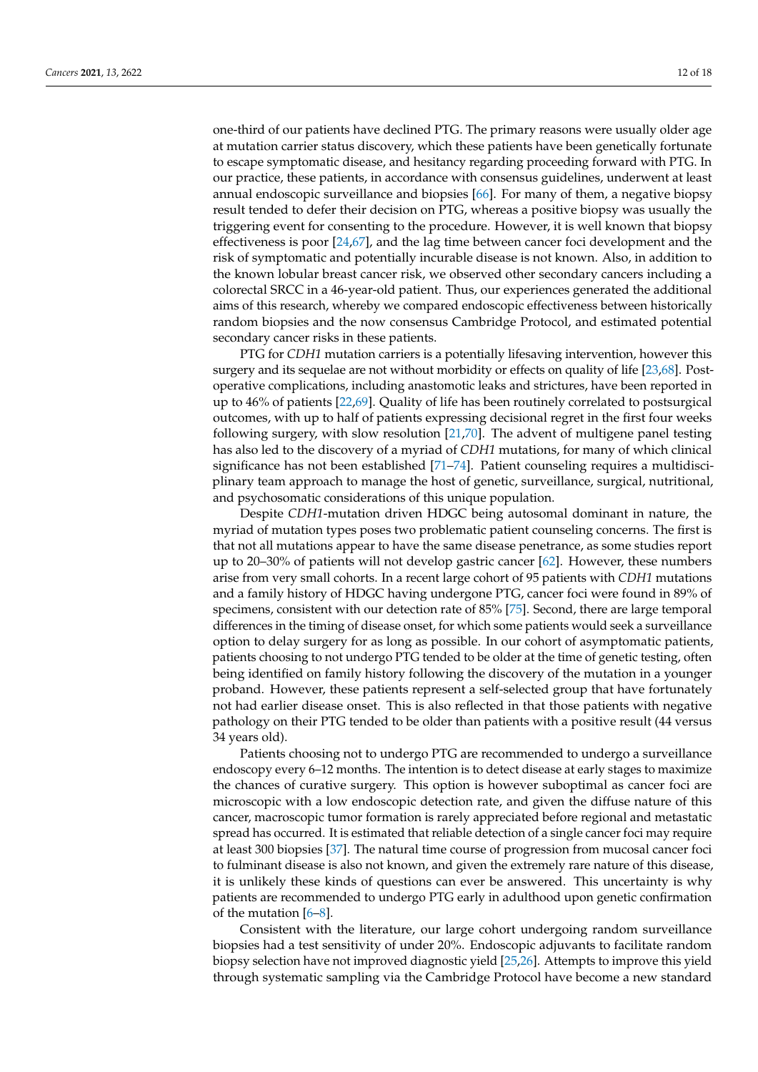one-third of our patients have declined PTG. The primary reasons were usually older age at mutation carrier status discovery, which these patients have been genetically fortunate to escape symptomatic disease, and hesitancy regarding proceeding forward with PTG. In our practice, these patients, in accordance with consensus guidelines, underwent at least annual endoscopic surveillance and biopsies [\[66\]](#page-16-1). For many of them, a negative biopsy result tended to defer their decision on PTG, whereas a positive biopsy was usually the triggering event for consenting to the procedure. However, it is well known that biopsy effectiveness is poor [\[24](#page-15-5)[,67\]](#page-17-0), and the lag time between cancer foci development and the risk of symptomatic and potentially incurable disease is not known. Also, in addition to the known lobular breast cancer risk, we observed other secondary cancers including a colorectal SRCC in a 46-year-old patient. Thus, our experiences generated the additional aims of this research, whereby we compared endoscopic effectiveness between historically random biopsies and the now consensus Cambridge Protocol, and estimated potential secondary cancer risks in these patients.

PTG for *CDH1* mutation carriers is a potentially lifesaving intervention, however this surgery and its sequelae are not without morbidity or effects on quality of life [\[23](#page-15-4)[,68\]](#page-17-1). Postoperative complications, including anastomotic leaks and strictures, have been reported in up to 46% of patients [\[22,](#page-15-3)[69\]](#page-17-2). Quality of life has been routinely correlated to postsurgical outcomes, with up to half of patients expressing decisional regret in the first four weeks following surgery, with slow resolution [\[21,](#page-15-2)[70\]](#page-17-3). The advent of multigene panel testing has also led to the discovery of a myriad of *CDH1* mutations, for many of which clinical significance has not been established [\[71](#page-17-4)[–74\]](#page-17-5). Patient counseling requires a multidisciplinary team approach to manage the host of genetic, surveillance, surgical, nutritional, and psychosomatic considerations of this unique population.

Despite *CDH1*-mutation driven HDGC being autosomal dominant in nature, the myriad of mutation types poses two problematic patient counseling concerns. The first is that not all mutations appear to have the same disease penetrance, as some studies report up to 20–30% of patients will not develop gastric cancer [\[62\]](#page-16-2). However, these numbers arise from very small cohorts. In a recent large cohort of 95 patients with *CDH1* mutations and a family history of HDGC having undergone PTG, cancer foci were found in 89% of specimens, consistent with our detection rate of 85% [\[75\]](#page-17-6). Second, there are large temporal differences in the timing of disease onset, for which some patients would seek a surveillance option to delay surgery for as long as possible. In our cohort of asymptomatic patients, patients choosing to not undergo PTG tended to be older at the time of genetic testing, often being identified on family history following the discovery of the mutation in a younger proband. However, these patients represent a self-selected group that have fortunately not had earlier disease onset. This is also reflected in that those patients with negative pathology on their PTG tended to be older than patients with a positive result (44 versus 34 years old).

Patients choosing not to undergo PTG are recommended to undergo a surveillance endoscopy every 6–12 months. The intention is to detect disease at early stages to maximize the chances of curative surgery. This option is however suboptimal as cancer foci are microscopic with a low endoscopic detection rate, and given the diffuse nature of this cancer, macroscopic tumor formation is rarely appreciated before regional and metastatic spread has occurred. It is estimated that reliable detection of a single cancer foci may require at least 300 biopsies [\[37\]](#page-15-14). The natural time course of progression from mucosal cancer foci to fulminant disease is also not known, and given the extremely rare nature of this disease, it is unlikely these kinds of questions can ever be answered. This uncertainty is why patients are recommended to undergo PTG early in adulthood upon genetic confirmation of the mutation  $[6-8]$  $[6-8]$ .

Consistent with the literature, our large cohort undergoing random surveillance biopsies had a test sensitivity of under 20%. Endoscopic adjuvants to facilitate random biopsy selection have not improved diagnostic yield [\[25](#page-15-6)[,26\]](#page-15-7). Attempts to improve this yield through systematic sampling via the Cambridge Protocol have become a new standard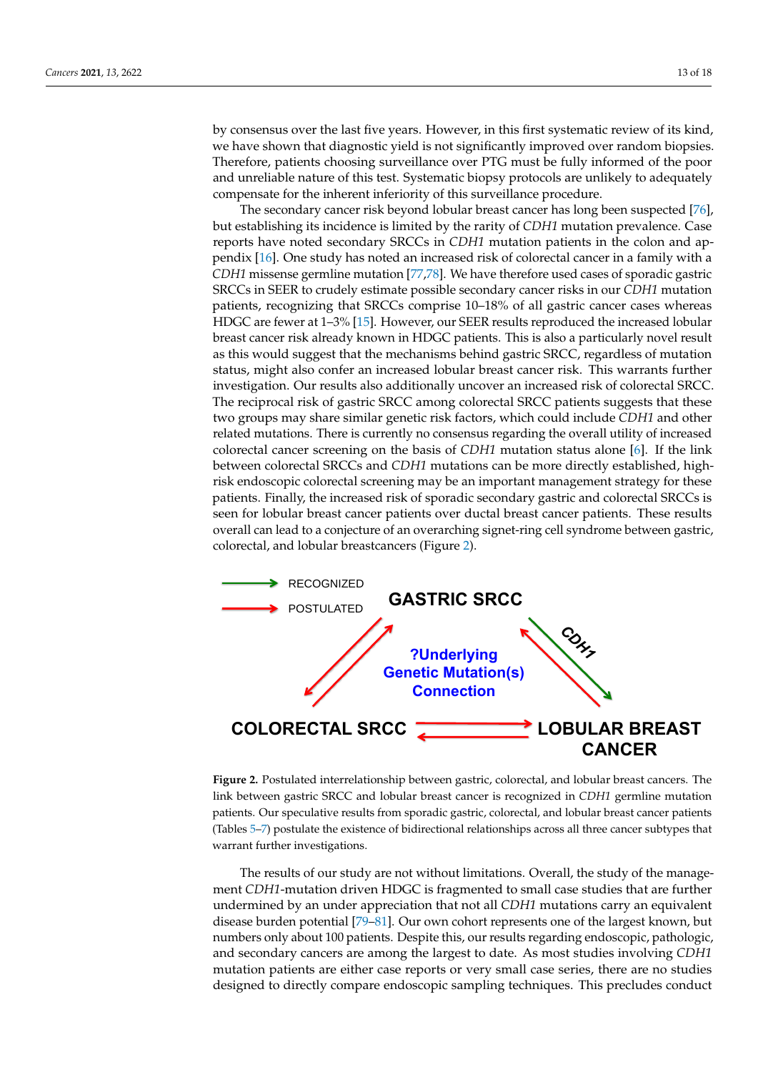by consensus over the last five years. However, in this first systematic review of its kind, we have shown that diagnostic yield is not significantly improved over random biopsies. have shown that diagnostic yield is not significantly improved over random biopsies. Therefore, patients choosing surveillance over PTG must be fully informed of the poor Therefore, patients choosing surveillance over PTG must be fully informed of the poor and unreliable nature of this test. Systematic biopsy protocols are unlikely to adequately and unreliable nature of this test. Systematic biopsy protocols are unlikely to adequately compensate for the inherent inferiority of this surveillance procedure. compensate for the inherent inferiority of this surveillance procedure.

The secondary cancer risk beyond lobular breast cancer has long been suspected [\[76\]](#page-17-7), The secondary cancer risk beyond lobular breast cancer has long been suspected [76], but establishing its incidence is limited by the rarity of *CDH1* mutation prevalence. Case but establishing its incidence is limited by the rarity of *CDH1* mutation prevalence. Case reports have noted secondary SRCCs in *CDH1* mutation patients in the colon and appendix [\[16\]](#page-14-15). One study has noted an increased risk of colorectal cancer in a family with a dix [16]. One study has noted an increased risk of colorectal cancer in a family with a *CDH1* missense germline mutation [\[77,](#page-17-8)[78\]](#page-17-9). We have therefore used cases of sporadic gastric  $SRCCs$  in  $SEER$  to crudely estimate possible secondary cancer risks in our *CDH1* mutation patients, recognizing that SRCCs comprise 10–18% of all gastric cancer cases whereas HDGC are fewer at  $1-3\%$  [\[15\]](#page-14-14). However, our SEER results reproduced the increased lobular breast cancer risk already known in HDGC patients. This is also a particularly novel result as this would suggest that the mechanisms behind gastric SRCC, regardless of mutation status, might also confer an increased lobular breast cancer risk. This warrants further investigation. Our results also additionally uncover an increased risk of colorectal SRCC. The reciprocal risk of gastric SRCC among colorectal SRCC patients suggests that these two groups may share similar genetic risk factors, which could include *CDH1* and other related mutations. There is currently no consensus regarding the overall utility of increased colorectal cancer screening on the basis of *CDH1* mutation status alone [\[6\]](#page-14-5). If the link between colorectal SRCCs and *CDH1* mutations can be more directly established, highrisk endoscopic colorectal screening may be an important management strategy for these patients. Finally, the increased risk of sporadic secondary gastric and colorectal SRCCs is seen for lobular breast cancer patients over ductal breast cancer patients. These results overall can lead to a conjecture of an overarching signet-ring cell syndrome between gastric, colorectal, and lobular breastcancers (Figure [2\)](#page-12-0).

<span id="page-12-0"></span>

**Figure 2.** Postulated interrelationship between gastric, colorectal, and lobular breast cancers. The **Figure 2.** Postulated interrelationship between gastric, colorectal, and lobular breast cancers. The link between gastric SRCC and lobular breast cancer is recognized in *CDH1* germline mutation tients. Our speculative results from sporadic gastric, colorectal, and lobular breast cancer patients patients. Our speculative results from sporadic gastric, colorectal, and lobular breast cancer patients  $\Gamma$ (Tables  $5-7$  $5-7$ ) postulate the existence of bidirectional relationships across all three cancer subtypes that warrant further investigations.

The results of our study are not without limitations. Overall, the study of the management *CDH1*-mutation driven HDGC is fragmented to small case studies that are further undermined by an under appreciation that not all *CDH1* mutations carry an equivalent disease burden potential [\[79](#page-17-10)[–81\]](#page-17-11). Our own cohort represents one of the largest known, but but numbers only about 100 patients. Despite this, our results regarding endoscopic, path-numbers only about 100 patients. Despite this, our results regarding endoscopic, pathologic, and secondary cancers are among the largest to date. As most studies involving *CDH1* mutation patients are either case reports or very small case series, there are no studies ies designed to directly compare endoscopic sampling techniques. This precludes conduct  $\overline{a}$  formalized meta-analysis. Nevertheless, we have demonstrated that the diagnostic that the diagnostic that the diagnostic term of the diagnostic term of the diagnostic term of the diagnostic term of the diagnostic designed to directly compare endoscopic sampling techniques. This precludes conduct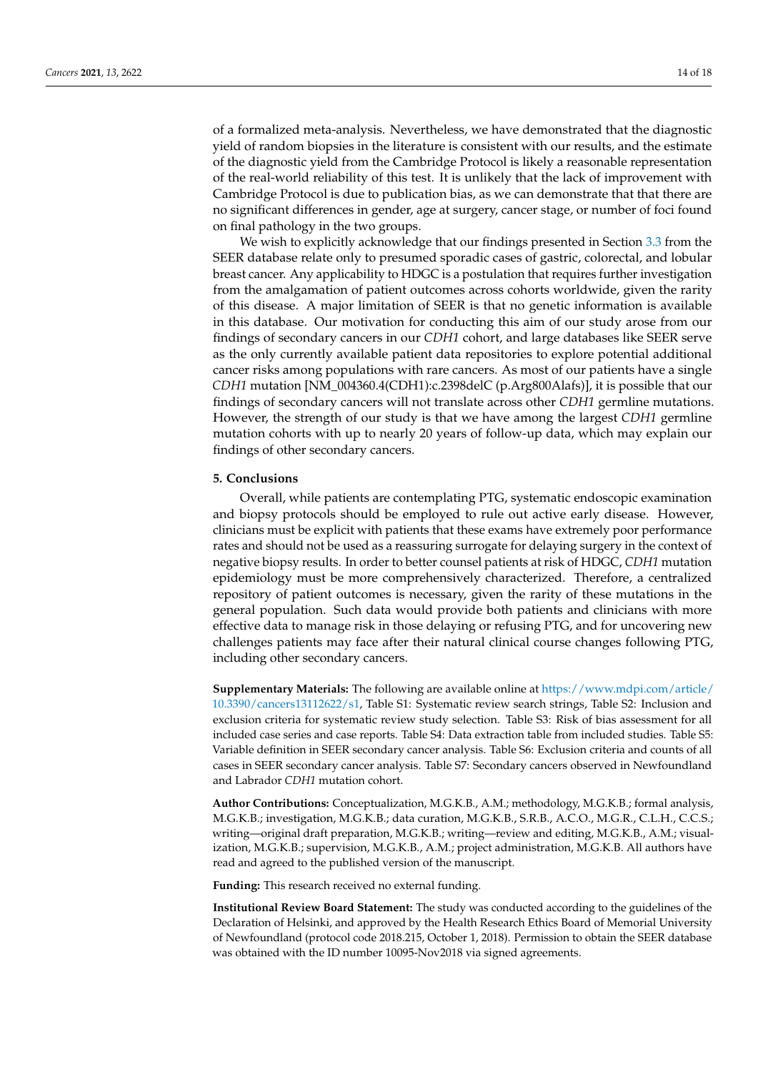of a formalized meta-analysis. Nevertheless, we have demonstrated that the diagnostic yield of random biopsies in the literature is consistent with our results, and the estimate of the diagnostic yield from the Cambridge Protocol is likely a reasonable representation of the real-world reliability of this test. It is unlikely that the lack of improvement with Cambridge Protocol is due to publication bias, as we can demonstrate that that there are no significant differences in gender, age at surgery, cancer stage, or number of foci found on final pathology in the two groups.

We wish to explicitly acknowledge that our findings presented in Section [3.3](#page-8-1) from the SEER database relate only to presumed sporadic cases of gastric, colorectal, and lobular breast cancer. Any applicability to HDGC is a postulation that requires further investigation from the amalgamation of patient outcomes across cohorts worldwide, given the rarity of this disease. A major limitation of SEER is that no genetic information is available in this database. Our motivation for conducting this aim of our study arose from our findings of secondary cancers in our *CDH1* cohort, and large databases like SEER serve as the only currently available patient data repositories to explore potential additional cancer risks among populations with rare cancers. As most of our patients have a single *CDH1* mutation [NM\_004360.4(CDH1):c.2398delC (p.Arg800Alafs)], it is possible that our findings of secondary cancers will not translate across other *CDH1* germline mutations. However, the strength of our study is that we have among the largest *CDH1* germline mutation cohorts with up to nearly 20 years of follow-up data, which may explain our findings of other secondary cancers.

## **5. Conclusions**

Overall, while patients are contemplating PTG, systematic endoscopic examination and biopsy protocols should be employed to rule out active early disease. However, clinicians must be explicit with patients that these exams have extremely poor performance rates and should not be used as a reassuring surrogate for delaying surgery in the context of negative biopsy results. In order to better counsel patients at risk of HDGC, *CDH1* mutation epidemiology must be more comprehensively characterized. Therefore, a centralized repository of patient outcomes is necessary, given the rarity of these mutations in the general population. Such data would provide both patients and clinicians with more effective data to manage risk in those delaying or refusing PTG, and for uncovering new challenges patients may face after their natural clinical course changes following PTG, including other secondary cancers.

**Supplementary Materials:** The following are available online at [https://www.mdpi.com/article/](https://www.mdpi.com/article/10.3390/cancers13112622/s1) [10.3390/cancers13112622/s1,](https://www.mdpi.com/article/10.3390/cancers13112622/s1) Table S1: Systematic review search strings, Table S2: Inclusion and exclusion criteria for systematic review study selection. Table S3: Risk of bias assessment for all included case series and case reports. Table S4: Data extraction table from included studies. Table S5: Variable definition in SEER secondary cancer analysis. Table S6: Exclusion criteria and counts of all cases in SEER secondary cancer analysis. Table S7: Secondary cancers observed in Newfoundland and Labrador *CDH1* mutation cohort.

**Author Contributions:** Conceptualization, M.G.K.B., A.M.; methodology, M.G.K.B.; formal analysis, M.G.K.B.; investigation, M.G.K.B.; data curation, M.G.K.B., S.R.B., A.C.O., M.G.R., C.L.H., C.C.S.; writing—original draft preparation, M.G.K.B.; writing—review and editing, M.G.K.B., A.M.; visualization, M.G.K.B.; supervision, M.G.K.B., A.M.; project administration, M.G.K.B. All authors have read and agreed to the published version of the manuscript.

**Funding:** This research received no external funding.

**Institutional Review Board Statement:** The study was conducted according to the guidelines of the Declaration of Helsinki, and approved by the Health Research Ethics Board of Memorial University of Newfoundland (protocol code 2018.215, October 1, 2018). Permission to obtain the SEER database was obtained with the ID number 10095-Nov2018 via signed agreements.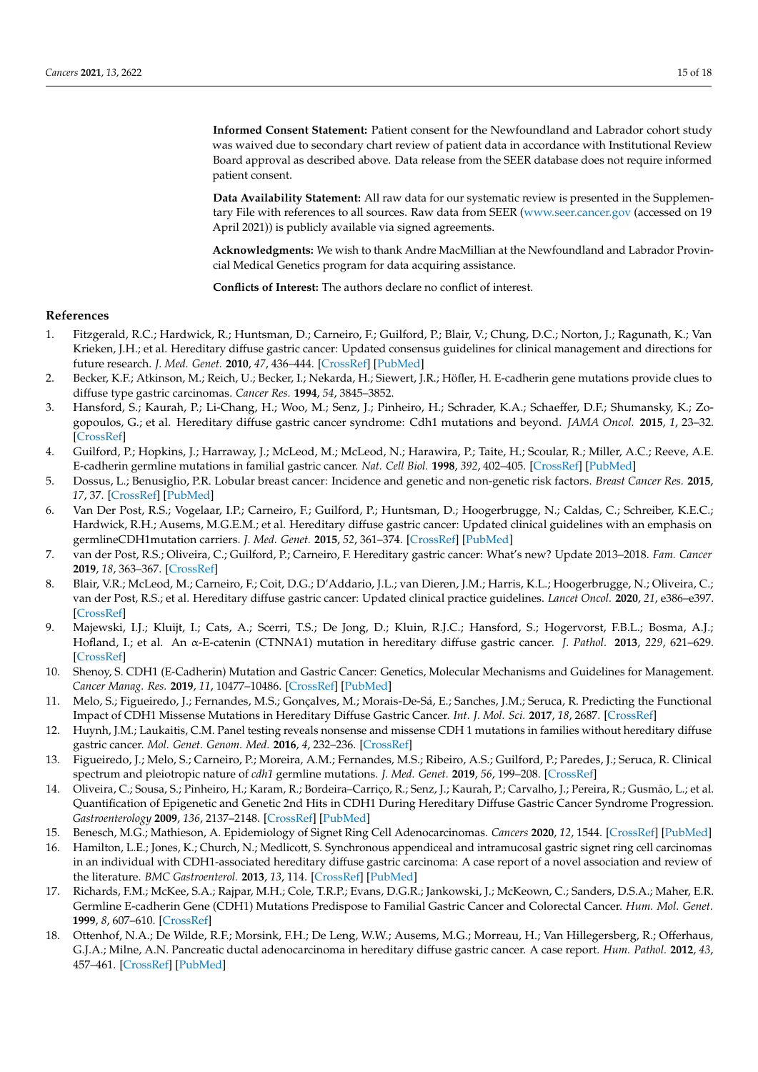**Informed Consent Statement:** Patient consent for the Newfoundland and Labrador cohort study was waived due to secondary chart review of patient data in accordance with Institutional Review Board approval as described above. Data release from the SEER database does not require informed patient consent.

**Data Availability Statement:** All raw data for our systematic review is presented in the Supplementary File with references to all sources. Raw data from SEER [\(www.seer.cancer.gov](www.seer.cancer.gov) (accessed on 19 April 2021)) is publicly available via signed agreements.

**Acknowledgments:** We wish to thank Andre MacMillian at the Newfoundland and Labrador Provincial Medical Genetics program for data acquiring assistance.

**Conflicts of Interest:** The authors declare no conflict of interest.

## **References**

- <span id="page-14-0"></span>1. Fitzgerald, R.C.; Hardwick, R.; Huntsman, D.; Carneiro, F.; Guilford, P.; Blair, V.; Chung, D.C.; Norton, J.; Ragunath, K.; Van Krieken, J.H.; et al. Hereditary diffuse gastric cancer: Updated consensus guidelines for clinical management and directions for future research. *J. Med. Genet.* **2010**, *47*, 436–444. [\[CrossRef\]](http://doi.org/10.1136/jmg.2009.074237) [\[PubMed\]](http://www.ncbi.nlm.nih.gov/pubmed/20591882)
- <span id="page-14-1"></span>2. Becker, K.F.; Atkinson, M.; Reich, U.; Becker, I.; Nekarda, H.; Siewert, J.R.; Höfler, H. E-cadherin gene mutations provide clues to diffuse type gastric carcinomas. *Cancer Res.* **1994**, *54*, 3845–3852.
- <span id="page-14-2"></span>3. Hansford, S.; Kaurah, P.; Li-Chang, H.; Woo, M.; Senz, J.; Pinheiro, H.; Schrader, K.A.; Schaeffer, D.F.; Shumansky, K.; Zogopoulos, G.; et al. Hereditary diffuse gastric cancer syndrome: Cdh1 mutations and beyond. *JAMA Oncol.* **2015**, *1*, 23–32. [\[CrossRef\]](http://doi.org/10.1001/jamaoncol.2014.168)
- <span id="page-14-3"></span>4. Guilford, P.; Hopkins, J.; Harraway, J.; McLeod, M.; McLeod, N.; Harawira, P.; Taite, H.; Scoular, R.; Miller, A.C.; Reeve, A.E. E-cadherin germline mutations in familial gastric cancer. *Nat. Cell Biol.* **1998**, *392*, 402–405. [\[CrossRef\]](http://doi.org/10.1038/32918) [\[PubMed\]](http://www.ncbi.nlm.nih.gov/pubmed/9537325)
- <span id="page-14-4"></span>5. Dossus, L.; Benusiglio, P.R. Lobular breast cancer: Incidence and genetic and non-genetic risk factors. *Breast Cancer Res.* **2015**, *17*, 37. [\[CrossRef\]](http://doi.org/10.1186/s13058-015-0546-7) [\[PubMed\]](http://www.ncbi.nlm.nih.gov/pubmed/25848941)
- <span id="page-14-5"></span>6. Van Der Post, R.S.; Vogelaar, I.P.; Carneiro, F.; Guilford, P.; Huntsman, D.; Hoogerbrugge, N.; Caldas, C.; Schreiber, K.E.C.; Hardwick, R.H.; Ausems, M.G.E.M.; et al. Hereditary diffuse gastric cancer: Updated clinical guidelines with an emphasis on germlineCDH1mutation carriers. *J. Med. Genet.* **2015**, *52*, 361–374. [\[CrossRef\]](http://doi.org/10.1136/jmedgenet-2015-103094) [\[PubMed\]](http://www.ncbi.nlm.nih.gov/pubmed/25979631)
- <span id="page-14-6"></span>7. van der Post, R.S.; Oliveira, C.; Guilford, P.; Carneiro, F. Hereditary gastric cancer: What's new? Update 2013–2018. *Fam. Cancer* **2019**, *18*, 363–367. [\[CrossRef\]](http://doi.org/10.1007/s10689-019-00127-7)
- <span id="page-14-7"></span>8. Blair, V.R.; McLeod, M.; Carneiro, F.; Coit, D.G.; D'Addario, J.L.; van Dieren, J.M.; Harris, K.L.; Hoogerbrugge, N.; Oliveira, C.; van der Post, R.S.; et al. Hereditary diffuse gastric cancer: Updated clinical practice guidelines. *Lancet Oncol.* **2020**, *21*, e386–e397. [\[CrossRef\]](http://doi.org/10.1016/S1470-2045(20)30219-9)
- <span id="page-14-8"></span>9. Majewski, I.J.; Kluijt, I.; Cats, A.; Scerri, T.S.; De Jong, D.; Kluin, R.J.C.; Hansford, S.; Hogervorst, F.B.L.; Bosma, A.J.; Hofland, I.; et al. An α-E-catenin (CTNNA1) mutation in hereditary diffuse gastric cancer. *J. Pathol.* **2013**, *229*, 621–629. [\[CrossRef\]](http://doi.org/10.1002/path.4152)
- <span id="page-14-9"></span>10. Shenoy, S. CDH1 (E-Cadherin) Mutation and Gastric Cancer: Genetics, Molecular Mechanisms and Guidelines for Management. *Cancer Manag. Res.* **2019**, *11*, 10477–10486. [\[CrossRef\]](http://doi.org/10.2147/CMAR.S208818) [\[PubMed\]](http://www.ncbi.nlm.nih.gov/pubmed/31853199)
- <span id="page-14-10"></span>11. Melo, S.; Figueiredo, J.; Fernandes, M.S.; Gonçalves, M.; Morais-De-Sá, E.; Sanches, J.M.; Seruca, R. Predicting the Functional Impact of CDH1 Missense Mutations in Hereditary Diffuse Gastric Cancer. *Int. J. Mol. Sci.* **2017**, *18*, 2687. [\[CrossRef\]](http://doi.org/10.3390/ijms18122687)
- <span id="page-14-11"></span>12. Huynh, J.M.; Laukaitis, C.M. Panel testing reveals nonsense and missense CDH 1 mutations in families without hereditary diffuse gastric cancer. *Mol. Genet. Genom. Med.* **2016**, *4*, 232–236. [\[CrossRef\]](http://doi.org/10.1002/mgg3.197)
- <span id="page-14-12"></span>13. Figueiredo, J.; Melo, S.; Carneiro, P.; Moreira, A.M.; Fernandes, M.S.; Ribeiro, A.S.; Guilford, P.; Paredes, J.; Seruca, R. Clinical spectrum and pleiotropic nature of *cdh1* germline mutations. *J. Med. Genet.* **2019**, *56*, 199–208. [\[CrossRef\]](http://doi.org/10.1136/jmedgenet-2018-105807)
- <span id="page-14-13"></span>14. Oliveira, C.; Sousa, S.; Pinheiro, H.; Karam, R.; Bordeira–Carriço, R.; Senz, J.; Kaurah, P.; Carvalho, J.; Pereira, R.; Gusmão, L.; et al. Quantification of Epigenetic and Genetic 2nd Hits in CDH1 During Hereditary Diffuse Gastric Cancer Syndrome Progression. *Gastroenterology* **2009**, *136*, 2137–2148. [\[CrossRef\]](http://doi.org/10.1053/j.gastro.2009.02.065) [\[PubMed\]](http://www.ncbi.nlm.nih.gov/pubmed/19269290)
- <span id="page-14-14"></span>15. Benesch, M.G.; Mathieson, A. Epidemiology of Signet Ring Cell Adenocarcinomas. *Cancers* **2020**, *12*, 1544. [\[CrossRef\]](http://doi.org/10.3390/cancers12061544) [\[PubMed\]](http://www.ncbi.nlm.nih.gov/pubmed/32545410)
- <span id="page-14-15"></span>16. Hamilton, L.E.; Jones, K.; Church, N.; Medlicott, S. Synchronous appendiceal and intramucosal gastric signet ring cell carcinomas in an individual with CDH1-associated hereditary diffuse gastric carcinoma: A case report of a novel association and review of the literature. *BMC Gastroenterol.* **2013**, *13*, 114. [\[CrossRef\]](http://doi.org/10.1186/1471-230X-13-114) [\[PubMed\]](http://www.ncbi.nlm.nih.gov/pubmed/23849133)
- 17. Richards, F.M.; McKee, S.A.; Rajpar, M.H.; Cole, T.R.P.; Evans, D.G.R.; Jankowski, J.; McKeown, C.; Sanders, D.S.A.; Maher, E.R. Germline E-cadherin Gene (CDH1) Mutations Predispose to Familial Gastric Cancer and Colorectal Cancer. *Hum. Mol. Genet.* **1999**, *8*, 607–610. [\[CrossRef\]](http://doi.org/10.1093/hmg/8.4.607)
- <span id="page-14-16"></span>18. Ottenhof, N.A.; De Wilde, R.F.; Morsink, F.H.; De Leng, W.W.; Ausems, M.G.; Morreau, H.; Van Hillegersberg, R.; Offerhaus, G.J.A.; Milne, A.N. Pancreatic ductal adenocarcinoma in hereditary diffuse gastric cancer. A case report. *Hum. Pathol.* **2012**, *43*, 457–461. [\[CrossRef\]](http://doi.org/10.1016/j.humpath.2011.06.008) [\[PubMed\]](http://www.ncbi.nlm.nih.gov/pubmed/21992816)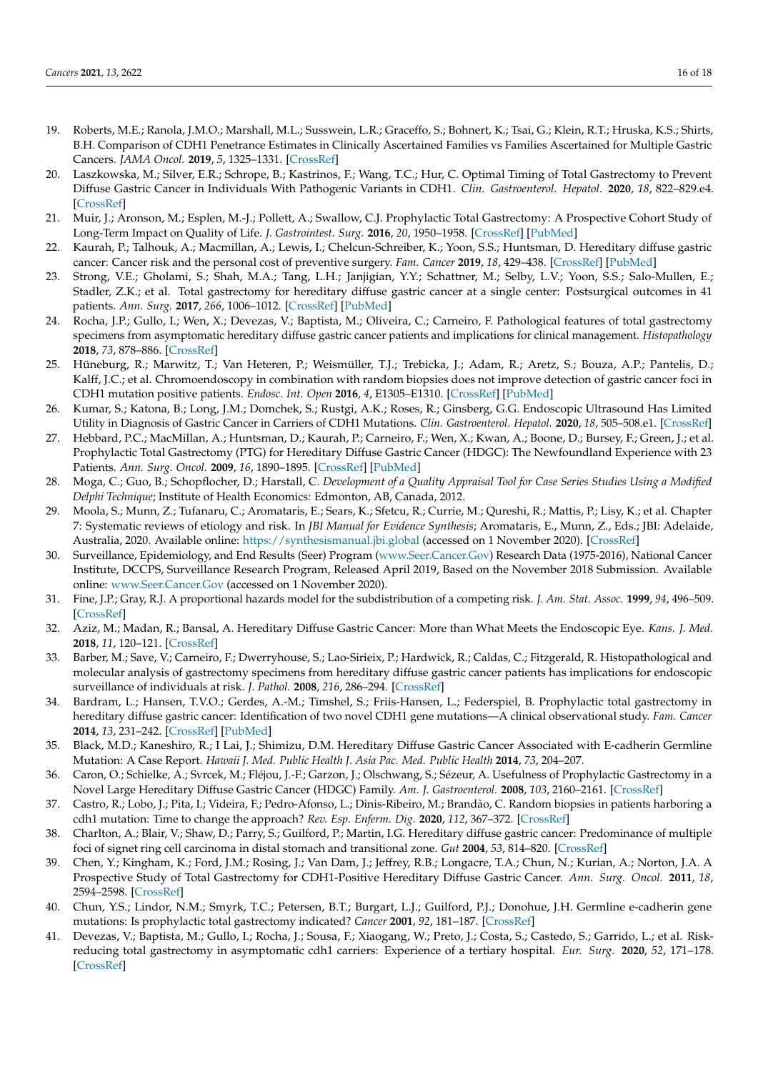- <span id="page-15-0"></span>19. Roberts, M.E.; Ranola, J.M.O.; Marshall, M.L.; Susswein, L.R.; Graceffo, S.; Bohnert, K.; Tsai, G.; Klein, R.T.; Hruska, K.S.; Shirts, B.H. Comparison of CDH1 Penetrance Estimates in Clinically Ascertained Families vs Families Ascertained for Multiple Gastric Cancers. *JAMA Oncol.* **2019**, *5*, 1325–1331. [\[CrossRef\]](http://doi.org/10.1001/jamaoncol.2019.1208)
- <span id="page-15-1"></span>20. Laszkowska, M.; Silver, E.R.; Schrope, B.; Kastrinos, F.; Wang, T.C.; Hur, C. Optimal Timing of Total Gastrectomy to Prevent Diffuse Gastric Cancer in Individuals With Pathogenic Variants in CDH1. *Clin. Gastroenterol. Hepatol.* **2020**, *18*, 822–829.e4. [\[CrossRef\]](http://doi.org/10.1016/j.cgh.2019.06.009)
- <span id="page-15-2"></span>21. Muir, J.; Aronson, M.; Esplen, M.-J.; Pollett, A.; Swallow, C.J. Prophylactic Total Gastrectomy: A Prospective Cohort Study of Long-Term Impact on Quality of Life. *J. Gastrointest. Surg.* **2016**, *20*, 1950–1958. [\[CrossRef\]](http://doi.org/10.1007/s11605-016-3287-8) [\[PubMed\]](http://www.ncbi.nlm.nih.gov/pubmed/27752808)
- <span id="page-15-3"></span>22. Kaurah, P.; Talhouk, A.; Macmillan, A.; Lewis, I.; Chelcun-Schreiber, K.; Yoon, S.S.; Huntsman, D. Hereditary diffuse gastric cancer: Cancer risk and the personal cost of preventive surgery. *Fam. Cancer* **2019**, *18*, 429–438. [\[CrossRef\]](http://doi.org/10.1007/s10689-019-00133-9) [\[PubMed\]](http://www.ncbi.nlm.nih.gov/pubmed/31273560)
- <span id="page-15-4"></span>23. Strong, V.E.; Gholami, S.; Shah, M.A.; Tang, L.H.; Janjigian, Y.Y.; Schattner, M.; Selby, L.V.; Yoon, S.S.; Salo-Mullen, E.; Stadler, Z.K.; et al. Total gastrectomy for hereditary diffuse gastric cancer at a single center: Postsurgical outcomes in 41 patients. *Ann. Surg.* **2017**, *266*, 1006–1012. [\[CrossRef\]](http://doi.org/10.1097/SLA.0000000000002030) [\[PubMed\]](http://www.ncbi.nlm.nih.gov/pubmed/27759617)
- <span id="page-15-5"></span>24. Rocha, J.P.; Gullo, I.; Wen, X.; Devezas, V.; Baptista, M.; Oliveira, C.; Carneiro, F. Pathological features of total gastrectomy specimens from asymptomatic hereditary diffuse gastric cancer patients and implications for clinical management. *Histopathology* **2018**, *73*, 878–886. [\[CrossRef\]](http://doi.org/10.1111/his.13715)
- <span id="page-15-6"></span>25. Hüneburg, R.; Marwitz, T.; Van Heteren, P.; Weismüller, T.J.; Trebicka, J.; Adam, R.; Aretz, S.; Bouza, A.P.; Pantelis, D.; Kalff, J.C.; et al. Chromoendoscopy in combination with random biopsies does not improve detection of gastric cancer foci in CDH1 mutation positive patients. *Endosc. Int. Open* **2016**, *4*, E1305–E1310. [\[CrossRef\]](http://doi.org/10.1055/s-0042-112582) [\[PubMed\]](http://www.ncbi.nlm.nih.gov/pubmed/27995193)
- <span id="page-15-7"></span>26. Kumar, S.; Katona, B.; Long, J.M.; Domchek, S.; Rustgi, A.K.; Roses, R.; Ginsberg, G.G. Endoscopic Ultrasound Has Limited Utility in Diagnosis of Gastric Cancer in Carriers of CDH1 Mutations. *Clin. Gastroenterol. Hepatol.* **2020**, *18*, 505–508.e1. [\[CrossRef\]](http://doi.org/10.1016/j.cgh.2019.04.064)
- <span id="page-15-8"></span>27. Hebbard, P.C.; MacMillan, A.; Huntsman, D.; Kaurah, P.; Carneiro, F.; Wen, X.; Kwan, A.; Boone, D.; Bursey, F.; Green, J.; et al. Prophylactic Total Gastrectomy (PTG) for Hereditary Diffuse Gastric Cancer (HDGC): The Newfoundland Experience with 23 Patients. *Ann. Surg. Oncol.* **2009**, *16*, 1890–1895. [\[CrossRef\]](http://doi.org/10.1245/s10434-009-0471-z) [\[PubMed\]](http://www.ncbi.nlm.nih.gov/pubmed/19408054)
- <span id="page-15-9"></span>28. Moga, C.; Guo, B.; Schopflocher, D.; Harstall, C. *Development of a Quality Appraisal Tool for Case Series Studies Using a Modified Delphi Technique*; Institute of Health Economics: Edmonton, AB, Canada, 2012.
- <span id="page-15-10"></span>29. Moola, S.; Munn, Z.; Tufanaru, C.; Aromataris, E.; Sears, K.; Sfetcu, R.; Currie, M.; Qureshi, R.; Mattis, P.; Lisy, K.; et al. Chapter 7: Systematic reviews of etiology and risk. In *JBI Manual for Evidence Synthesis*; Aromataris, E., Munn, Z., Eds.; JBI: Adelaide, Australia, 2020. Available online: <https://synthesismanual.jbi.global> (accessed on 1 November 2020). [\[CrossRef\]](http://doi.org/10.46658/JBIMES-20-08)
- <span id="page-15-11"></span>30. Surveillance, Epidemiology, and End Results (Seer) Program [\(www.Seer.Cancer.Gov\)](www.Seer.Cancer.Gov) Research Data (1975-2016), National Cancer Institute, DCCPS, Surveillance Research Program, Released April 2019, Based on the November 2018 Submission. Available online: <www.Seer.Cancer.Gov> (accessed on 1 November 2020).
- <span id="page-15-12"></span>31. Fine, J.P.; Gray, R.J. A proportional hazards model for the subdistribution of a competing risk. *J. Am. Stat. Assoc.* **1999**, *94*, 496–509. [\[CrossRef\]](http://doi.org/10.1080/01621459.1999.10474144)
- <span id="page-15-13"></span>32. Aziz, M.; Madan, R.; Bansal, A. Hereditary Diffuse Gastric Cancer: More than What Meets the Endoscopic Eye. *Kans. J. Med.* **2018**, *11*, 120–121. [\[CrossRef\]](http://doi.org/10.17161/kjm.v11i4.8710)
- 33. Barber, M.; Save, V.; Carneiro, F.; Dwerryhouse, S.; Lao-Sirieix, P.; Hardwick, R.; Caldas, C.; Fitzgerald, R. Histopathological and molecular analysis of gastrectomy specimens from hereditary diffuse gastric cancer patients has implications for endoscopic surveillance of individuals at risk. *J. Pathol.* **2008**, *216*, 286–294. [\[CrossRef\]](http://doi.org/10.1002/path.2415)
- 34. Bardram, L.; Hansen, T.V.O.; Gerdes, A.-M.; Timshel, S.; Friis-Hansen, L.; Federspiel, B. Prophylactic total gastrectomy in hereditary diffuse gastric cancer: Identification of two novel CDH1 gene mutations—A clinical observational study. *Fam. Cancer* **2014**, *13*, 231–242. [\[CrossRef\]](http://doi.org/10.1007/s10689-013-9698-8) [\[PubMed\]](http://www.ncbi.nlm.nih.gov/pubmed/24389957)
- 35. Black, M.D.; Kaneshiro, R.; I Lai, J.; Shimizu, D.M. Hereditary Diffuse Gastric Cancer Associated with E-cadherin Germline Mutation: A Case Report. *Hawaii J. Med. Public Health J. Asia Pac. Med. Public Health* **2014**, *73*, 204–207.
- 36. Caron, O.; Schielke, A.; Svrcek, M.; Fléjou, J.-F.; Garzon, J.; Olschwang, S.; Sézeur, A. Usefulness of Prophylactic Gastrectomy in a Novel Large Hereditary Diffuse Gastric Cancer (HDGC) Family. *Am. J. Gastroenterol.* **2008**, *103*, 2160–2161. [\[CrossRef\]](http://doi.org/10.1111/j.1572-0241.2008.01982_17.x)
- <span id="page-15-14"></span>37. Castro, R.; Lobo, J.; Pita, I.; Videira, F.; Pedro-Afonso, L.; Dinis-Ribeiro, M.; Brandão, C. Random biopsies in patients harboring a cdh1 mutation: Time to change the approach? *Rev. Esp. Enferm. Dig.* **2020**, *112*, 367–372. [\[CrossRef\]](http://doi.org/10.17235/reed.2020.6720/2019)
- 38. Charlton, A.; Blair, V.; Shaw, D.; Parry, S.; Guilford, P.; Martin, I.G. Hereditary diffuse gastric cancer: Predominance of multiple foci of signet ring cell carcinoma in distal stomach and transitional zone. *Gut* **2004**, *53*, 814–820. [\[CrossRef\]](http://doi.org/10.1136/gut.2002.010447)
- 39. Chen, Y.; Kingham, K.; Ford, J.M.; Rosing, J.; Van Dam, J.; Jeffrey, R.B.; Longacre, T.A.; Chun, N.; Kurian, A.; Norton, J.A. A Prospective Study of Total Gastrectomy for CDH1-Positive Hereditary Diffuse Gastric Cancer. *Ann. Surg. Oncol.* **2011**, *18*, 2594–2598. [\[CrossRef\]](http://doi.org/10.1245/s10434-011-1648-9)
- 40. Chun, Y.S.; Lindor, N.M.; Smyrk, T.C.; Petersen, B.T.; Burgart, L.J.; Guilford, P.J.; Donohue, J.H. Germline e-cadherin gene mutations: Is prophylactic total gastrectomy indicated? *Cancer* **2001**, *92*, 181–187. [\[CrossRef\]](http://doi.org/10.1002/1097-0142(20010701)92:1<181::AID-CNCR1307>3.0.CO;2-J)
- 41. Devezas, V.; Baptista, M.; Gullo, I.; Rocha, J.; Sousa, F.; Xiaogang, W.; Preto, J.; Costa, S.; Castedo, S.; Garrido, L.; et al. Riskreducing total gastrectomy in asymptomatic cdh1 carriers: Experience of a tertiary hospital. *Eur. Surg.* **2020**, *52*, 171–178. [\[CrossRef\]](http://doi.org/10.1007/s10353-020-00630-7)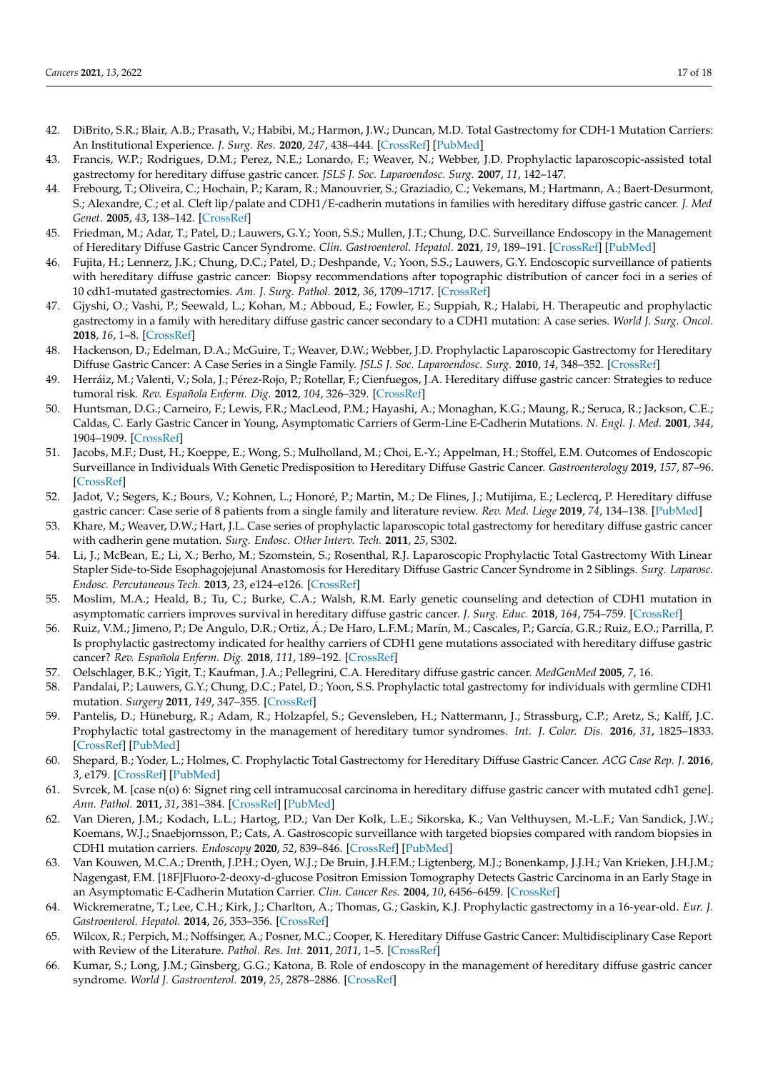- 42. DiBrito, S.R.; Blair, A.B.; Prasath, V.; Habibi, M.; Harmon, J.W.; Duncan, M.D. Total Gastrectomy for CDH-1 Mutation Carriers: An Institutional Experience. *J. Surg. Res.* **2020**, *247*, 438–444. [\[CrossRef\]](http://doi.org/10.1016/j.jss.2019.09.062) [\[PubMed\]](http://www.ncbi.nlm.nih.gov/pubmed/31685251)
- 43. Francis, W.P.; Rodrigues, D.M.; Perez, N.E.; Lonardo, F.; Weaver, N.; Webber, J.D. Prophylactic laparoscopic-assisted total gastrectomy for hereditary diffuse gastric cancer. *JSLS J. Soc. Laparoendosc. Surg.* **2007**, *11*, 142–147.
- 44. Frebourg, T.; Oliveira, C.; Hochain, P.; Karam, R.; Manouvrier, S.; Graziadio, C.; Vekemans, M.; Hartmann, A.; Baert-Desurmont, S.; Alexandre, C.; et al. Cleft lip/palate and CDH1/E-cadherin mutations in families with hereditary diffuse gastric cancer. *J. Med Genet.* **2005**, *43*, 138–142. [\[CrossRef\]](http://doi.org/10.1136/jmg.2005.031385)
- 45. Friedman, M.; Adar, T.; Patel, D.; Lauwers, G.Y.; Yoon, S.S.; Mullen, J.T.; Chung, D.C. Surveillance Endoscopy in the Management of Hereditary Diffuse Gastric Cancer Syndrome. *Clin. Gastroenterol. Hepatol.* **2021**, *19*, 189–191. [\[CrossRef\]](http://doi.org/10.1016/j.cgh.2019.10.033) [\[PubMed\]](http://www.ncbi.nlm.nih.gov/pubmed/31678201)
- 46. Fujita, H.; Lennerz, J.K.; Chung, D.C.; Patel, D.; Deshpande, V.; Yoon, S.S.; Lauwers, G.Y. Endoscopic surveillance of patients with hereditary diffuse gastric cancer: Biopsy recommendations after topographic distribution of cancer foci in a series of 10 cdh1-mutated gastrectomies. *Am. J. Surg. Pathol.* **2012**, *36*, 1709–1717. [\[CrossRef\]](http://doi.org/10.1097/PAS.0b013e31826ca204)
- 47. Gjyshi, O.; Vashi, P.; Seewald, L.; Kohan, M.; Abboud, E.; Fowler, E.; Suppiah, R.; Halabi, H. Therapeutic and prophylactic gastrectomy in a family with hereditary diffuse gastric cancer secondary to a CDH1 mutation: A case series. *World J. Surg. Oncol.* **2018**, *16*, 1–8. [\[CrossRef\]](http://doi.org/10.1186/s12957-018-1415-5)
- 48. Hackenson, D.; Edelman, D.A.; McGuire, T.; Weaver, D.W.; Webber, J.D. Prophylactic Laparoscopic Gastrectomy for Hereditary Diffuse Gastric Cancer: A Case Series in a Single Family. *JSLS J. Soc. Laparoendosc. Surg.* **2010**, *14*, 348–352. [\[CrossRef\]](http://doi.org/10.4293/108680810X12924466007449)
- 49. Herráiz, M.; Valenti, V.; Sola, J.; Pérez-Rojo, P.; Rotellar, F.; Cienfuegos, J.A. Hereditary diffuse gastric cancer: Strategies to reduce tumoral risk. *Rev. Española Enferm. Dig.* **2012**, *104*, 326–329. [\[CrossRef\]](http://doi.org/10.4321/S1130-01082012000600009)
- 50. Huntsman, D.G.; Carneiro, F.; Lewis, F.R.; MacLeod, P.M.; Hayashi, A.; Monaghan, K.G.; Maung, R.; Seruca, R.; Jackson, C.E.; Caldas, C. Early Gastric Cancer in Young, Asymptomatic Carriers of Germ-Line E-Cadherin Mutations. *N. Engl. J. Med.* **2001**, *344*, 1904–1909. [\[CrossRef\]](http://doi.org/10.1056/NEJM200106213442504)
- 51. Jacobs, M.F.; Dust, H.; Koeppe, E.; Wong, S.; Mulholland, M.; Choi, E.-Y.; Appelman, H.; Stoffel, E.M. Outcomes of Endoscopic Surveillance in Individuals With Genetic Predisposition to Hereditary Diffuse Gastric Cancer. *Gastroenterology* **2019**, *157*, 87–96. [\[CrossRef\]](http://doi.org/10.1053/j.gastro.2019.03.047)
- 52. Jadot, V.; Segers, K.; Bours, V.; Kohnen, L.; Honoré, P.; Martin, M.; De Flines, J.; Mutijima, E.; Leclercq, P. Hereditary diffuse gastric cancer: Case serie of 8 patients from a single family and literature review. *Rev. Med. Liege* **2019**, *74*, 134–138. [\[PubMed\]](http://www.ncbi.nlm.nih.gov/pubmed/30897312)
- 53. Khare, M.; Weaver, D.W.; Hart, J.L. Case series of prophylactic laparoscopic total gastrectomy for hereditary diffuse gastric cancer with cadherin gene mutation. *Surg. Endosc. Other Interv. Tech.* **2011**, *25*, S302.
- 54. Li, J.; McBean, E.; Li, X.; Berho, M.; Szomstein, S.; Rosenthal, R.J. Laparoscopic Prophylactic Total Gastrectomy With Linear Stapler Side-to-Side Esophagojejunal Anastomosis for Hereditary Diffuse Gastric Cancer Syndrome in 2 Siblings. *Surg. Laparosc. Endosc. Percutaneous Tech.* **2013**, *23*, e124–e126. [\[CrossRef\]](http://doi.org/10.1097/SLE.0b013e3182773e38)
- 55. Moslim, M.A.; Heald, B.; Tu, C.; Burke, C.A.; Walsh, R.M. Early genetic counseling and detection of CDH1 mutation in asymptomatic carriers improves survival in hereditary diffuse gastric cancer. *J. Surg. Educ.* **2018**, *164*, 754–759. [\[CrossRef\]](http://doi.org/10.1016/j.surg.2018.05.059)
- 56. Ruiz, V.M.; Jimeno, P.; De Angulo, D.R.; Ortiz, Á.; De Haro, L.F.M.; Marín, M.; Cascales, P.; García, G.R.; Ruiz, E.O.; Parrilla, P. Is prophylactic gastrectomy indicated for healthy carriers of CDH1 gene mutations associated with hereditary diffuse gastric cancer? *Rev. Española Enferm. Dig.* **2018**, *111*, 189–192. [\[CrossRef\]](http://doi.org/10.17235/reed.2018.5831/2018)
- 57. Oelschlager, B.K.; Yigit, T.; Kaufman, J.A.; Pellegrini, C.A. Hereditary diffuse gastric cancer. *MedGenMed* **2005**, *7*, 16.
- 58. Pandalai, P.; Lauwers, G.Y.; Chung, D.C.; Patel, D.; Yoon, S.S. Prophylactic total gastrectomy for individuals with germline CDH1 mutation. *Surgery* **2011**, *149*, 347–355. [\[CrossRef\]](http://doi.org/10.1016/j.surg.2010.07.005)
- 59. Pantelis, D.; Hüneburg, R.; Adam, R.; Holzapfel, S.; Gevensleben, H.; Nattermann, J.; Strassburg, C.P.; Aretz, S.; Kalff, J.C. Prophylactic total gastrectomy in the management of hereditary tumor syndromes. *Int. J. Color. Dis.* **2016**, *31*, 1825–1833. [\[CrossRef\]](http://doi.org/10.1007/s00384-016-2656-9) [\[PubMed\]](http://www.ncbi.nlm.nih.gov/pubmed/27682646)
- 60. Shepard, B.; Yoder, L.; Holmes, C. Prophylactic Total Gastrectomy for Hereditary Diffuse Gastric Cancer. *ACG Case Rep. J.* **2016**, *3*, e179. [\[CrossRef\]](http://doi.org/10.14309/crj.2016.152) [\[PubMed\]](http://www.ncbi.nlm.nih.gov/pubmed/28008412)
- 61. Svrcek, M. [case n(o) 6: Signet ring cell intramucosal carcinoma in hereditary diffuse gastric cancer with mutated cdh1 gene]. *Ann. Pathol.* **2011**, *31*, 381–384. [\[CrossRef\]](http://doi.org/10.1016/j.annpat.2011.07.007) [\[PubMed\]](http://www.ncbi.nlm.nih.gov/pubmed/21982246)
- <span id="page-16-2"></span>62. Van Dieren, J.M.; Kodach, L.L.; Hartog, P.D.; Van Der Kolk, L.E.; Sikorska, K.; Van Velthuysen, M.-L.F.; Van Sandick, J.W.; Koemans, W.J.; Snaebjornsson, P.; Cats, A. Gastroscopic surveillance with targeted biopsies compared with random biopsies in CDH1 mutation carriers. *Endoscopy* **2020**, *52*, 839–846. [\[CrossRef\]](http://doi.org/10.1055/a-1157-8678) [\[PubMed\]](http://www.ncbi.nlm.nih.gov/pubmed/32408363)
- 63. Van Kouwen, M.C.A.; Drenth, J.P.H.; Oyen, W.J.; De Bruin, J.H.F.M.; Ligtenberg, M.J.; Bonenkamp, J.J.H.; Van Krieken, J.H.J.M.; Nagengast, F.M. [18F]Fluoro-2-deoxy-d-glucose Positron Emission Tomography Detects Gastric Carcinoma in an Early Stage in an Asymptomatic E-Cadherin Mutation Carrier. *Clin. Cancer Res.* **2004**, *10*, 6456–6459. [\[CrossRef\]](http://doi.org/10.1158/1078-0432.CCR-04-0599)
- 64. Wickremeratne, T.; Lee, C.H.; Kirk, J.; Charlton, A.; Thomas, G.; Gaskin, K.J. Prophylactic gastrectomy in a 16-year-old. *Eur. J. Gastroenterol. Hepatol.* **2014**, *26*, 353–356. [\[CrossRef\]](http://doi.org/10.1097/MEG.0000000000000016)
- <span id="page-16-0"></span>65. Wilcox, R.; Perpich, M.; Noffsinger, A.; Posner, M.C.; Cooper, K. Hereditary Diffuse Gastric Cancer: Multidisciplinary Case Report with Review of the Literature. *Pathol. Res. Int.* **2011**, *2011*, 1–5. [\[CrossRef\]](http://doi.org/10.4061/2011/845821)
- <span id="page-16-1"></span>66. Kumar, S.; Long, J.M.; Ginsberg, G.G.; Katona, B. Role of endoscopy in the management of hereditary diffuse gastric cancer syndrome. *World J. Gastroenterol.* **2019**, *25*, 2878–2886. [\[CrossRef\]](http://doi.org/10.3748/wjg.v25.i23.2878)